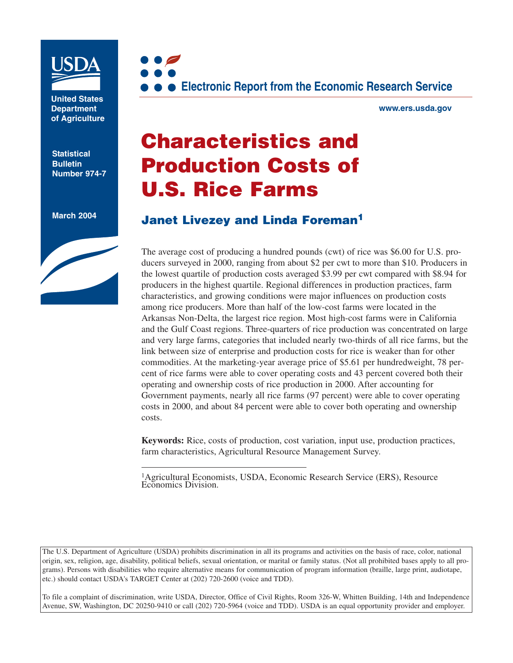

**United States Department of Agriculture**

**Statistical Bulletin Number 974-7**

**March 2004**





**www.ers.usda.gov**

# **Characteristics and Production Costs of U.S. Rice Farms**

# **Janet Livezey and Linda Foreman<sup>1</sup>**

The average cost of producing a hundred pounds (cwt) of rice was \$6.00 for U.S. producers surveyed in 2000, ranging from about \$2 per cwt to more than \$10. Producers in the lowest quartile of production costs averaged \$3.99 per cwt compared with \$8.94 for producers in the highest quartile. Regional differences in production practices, farm characteristics, and growing conditions were major influences on production costs among rice producers. More than half of the low-cost farms were located in the Arkansas Non-Delta, the largest rice region. Most high-cost farms were in California and the Gulf Coast regions. Three-quarters of rice production was concentrated on large and very large farms, categories that included nearly two-thirds of all rice farms, but the link between size of enterprise and production costs for rice is weaker than for other commodities. At the marketing-year average price of \$5.61 per hundredweight, 78 percent of rice farms were able to cover operating costs and 43 percent covered both their operating and ownership costs of rice production in 2000. After accounting for Government payments, nearly all rice farms (97 percent) were able to cover operating costs in 2000, and about 84 percent were able to cover both operating and ownership costs.

**Keywords:** Rice, costs of production, cost variation, input use, production practices, farm characteristics, Agricultural Resource Management Survey.

1Agricultural Economists, USDA, Economic Research Service (ERS), Resource Economics Division.

The U.S. Department of Agriculture (USDA) prohibits discrimination in all its programs and activities on the basis of race, color, national origin, sex, religion, age, disability, political beliefs, sexual orientation, or marital or family status. (Not all prohibited bases apply to all programs). Persons with disabilities who require alternative means for communication of program information (braille, large print, audiotape, etc.) should contact USDA's TARGET Center at (202) 720-2600 (voice and TDD).

To file a complaint of discrimination, write USDA, Director, Office of Civil Rights, Room 326-W, Whitten Building, 14th and Independence Avenue, SW, Washington, DC 20250-9410 or call (202) 720-5964 (voice and TDD). USDA is an equal opportunity provider and employer.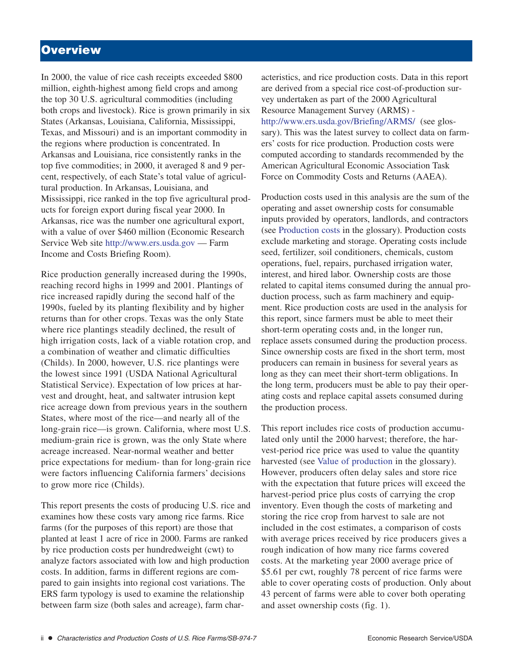# **Overview**

In 2000, the value of rice cash receipts exceeded \$800 million, eighth-highest among field crops and among the top 30 U.S. agricultural commodities (including both crops and livestock). Rice is grown primarily in six States (Arkansas, Louisiana, California, Mississippi, Texas, and Missouri) and is an important commodity in the regions where production is concentrated. In Arkansas and Louisiana, rice consistently ranks in the top five commodities; in 2000, it averaged 8 and 9 percent, respectively, of each State's total value of agricultural production. In Arkansas, Louisiana, and Mississippi, rice ranked in the top five agricultural products for foreign export during fiscal year 2000. In Arkansas, rice was the number one agricultural export, with a value of over \$460 million (Economic Research Service Web site http://www.ers.usda.gov — Farm Income and Costs Briefing Room).

Rice production generally increased during the 1990s, reaching record highs in 1999 and 2001. Plantings of rice increased rapidly during the second half of the 1990s, fueled by its planting flexibility and by higher returns than for other crops. Texas was the only State where rice plantings steadily declined, the result of high irrigation costs, lack of a viable rotation crop, and a combination of weather and climatic difficulties (Childs). In 2000, however, U.S. rice plantings were the lowest since 1991 (USDA National Agricultural Statistical Service). Expectation of low prices at harvest and drought, heat, and saltwater intrusion kept rice acreage down from previous years in the southern States, where most of the rice—and nearly all of the long-grain rice—is grown. California, where most U.S. medium-grain rice is grown, was the only State where acreage increased. Near-normal weather and better price expectations for medium- than for long-grain rice were factors influencing California farmers' decisions to grow more rice (Childs).

This report presents the costs of producing U.S. rice and examines how these costs vary among rice farms. Rice farms (for the purposes of this report) are those that planted at least 1 acre of rice in 2000. Farms are ranked by rice production costs per hundredweight (cwt) to analyze factors associated with low and high production costs. In addition, farms in different regions are compared to gain insights into regional cost variations. The ERS farm typology is used to examine the relationship between farm size (both sales and acreage), farm characteristics, and rice production costs. Data in this report are derived from a special rice cost-of-production survey undertaken as part of the 2000 Agricultural Resource Management Survey (ARMS) http://www.ers.usda.gov/Briefing/ARMS/ (see glossary). This was the latest survey to collect data on farmers' costs for rice production. Production costs were computed according to standards recommended by the American Agricultural Economic Association Task Force on Commodity Costs and Returns (AAEA).

Production costs used in this analysis are the sum of the operating and asset ownership costs for consumable inputs provided by operators, landlords, and contractors (see Production costs in the glossary). Production costs exclude marketing and storage. Operating costs include seed, fertilizer, soil conditioners, chemicals, custom operations, fuel, repairs, purchased irrigation water, interest, and hired labor. Ownership costs are those related to capital items consumed during the annual production process, such as farm machinery and equipment. Rice production costs are used in the analysis for this report, since farmers must be able to meet their short-term operating costs and, in the longer run, replace assets consumed during the production process. Since ownership costs are fixed in the short term, most producers can remain in business for several years as long as they can meet their short-term obligations. In the long term, producers must be able to pay their operating costs and replace capital assets consumed during the production process.

This report includes rice costs of production accumulated only until the 2000 harvest; therefore, the harvest-period rice price was used to value the quantity harvested (see Value of production in the glossary). However, producers often delay sales and store rice with the expectation that future prices will exceed the harvest-period price plus costs of carrying the crop inventory. Even though the costs of marketing and storing the rice crop from harvest to sale are not included in the cost estimates, a comparison of costs with average prices received by rice producers gives a rough indication of how many rice farms covered costs. At the marketing year 2000 average price of \$5.61 per cwt, roughly 78 percent of rice farms were able to cover operating costs of production. Only about 43 percent of farms were able to cover both operating and asset ownership costs (fig. 1).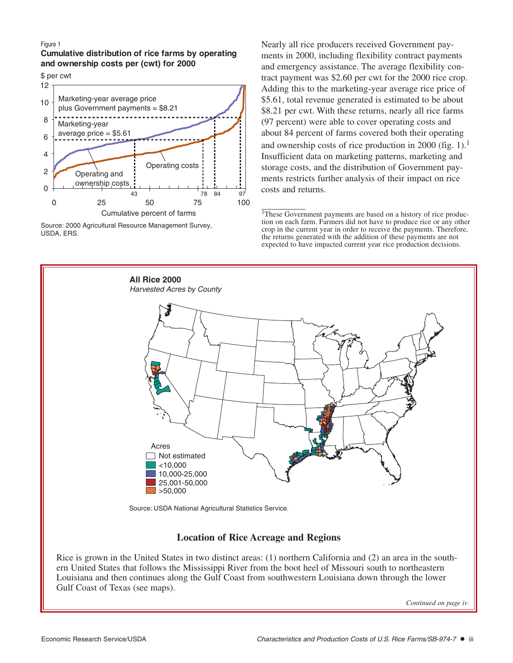#### Figure 1

**Cumulative distribution of rice farms by operating and ownership costs per (cwt) for 2000** 

\$ per cwt



Source: 2000 Agricultural Resource Management Survey, USDA, ERS.

Nearly all rice producers received Government payments in 2000, including flexibility contract payments and emergency assistance. The average flexibility contract payment was \$2.60 per cwt for the 2000 rice crop. Adding this to the marketing-year average rice price of \$5.61, total revenue generated is estimated to be about \$8.21 per cwt. With these returns, nearly all rice farms (97 percent) were able to cover operating costs and about 84 percent of farms covered both their operating and ownership costs of rice production in 2000 (fig. 1).<sup>1</sup> Insufficient data on marketing patterns, marketing and storage costs, and the distribution of Government payments restricts further analysis of their impact on rice costs and returns.

<sup>1</sup>These Government payments are based on a history of rice production on each farm. Farmers did not have to produce rice or any other crop in the current year in order to receive the payments. Therefore, the returns generated with the addition of these payments are not expected to have impacted current year rice production decisions.



### **Location of Rice Acreage and Regions**

Rice is grown in the United States in two distinct areas: (1) northern California and (2) an area in the southern United States that follows the Mississippi River from the boot heel of Missouri south to northeastern Louisiana and then continues along the Gulf Coast from southwestern Louisiana down through the lower Gulf Coast of Texas (see maps).

*Continued on page iv*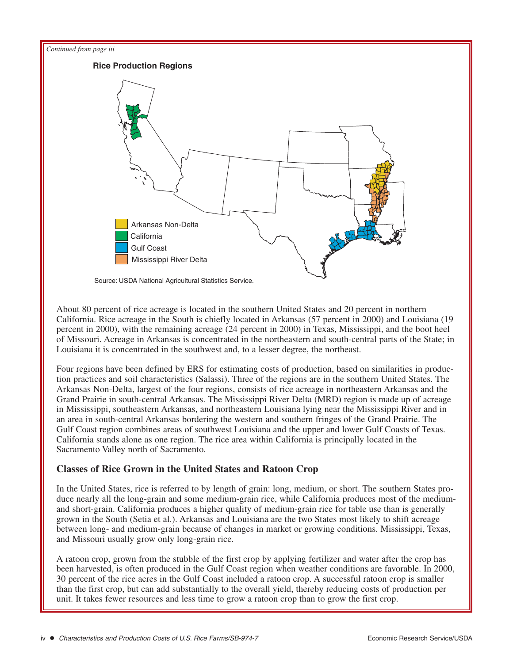

About 80 percent of rice acreage is located in the southern United States and 20 percent in northern California. Rice acreage in the South is chiefly located in Arkansas (57 percent in 2000) and Louisiana (19 percent in 2000), with the remaining acreage (24 percent in 2000) in Texas, Mississippi, and the boot heel of Missouri. Acreage in Arkansas is concentrated in the northeastern and south-central parts of the State; in Louisiana it is concentrated in the southwest and, to a lesser degree, the northeast.

Four regions have been defined by ERS for estimating costs of production, based on similarities in production practices and soil characteristics (Salassi). Three of the regions are in the southern United States. The Arkansas Non-Delta, largest of the four regions, consists of rice acreage in northeastern Arkansas and the Grand Prairie in south-central Arkansas. The Mississippi River Delta (MRD) region is made up of acreage in Mississippi, southeastern Arkansas, and northeastern Louisiana lying near the Mississippi River and in an area in south-central Arkansas bordering the western and southern fringes of the Grand Prairie. The Gulf Coast region combines areas of southwest Louisiana and the upper and lower Gulf Coasts of Texas. California stands alone as one region. The rice area within California is principally located in the Sacramento Valley north of Sacramento.

### **Classes of Rice Grown in the United States and Ratoon Crop**

In the United States, rice is referred to by length of grain: long, medium, or short. The southern States produce nearly all the long-grain and some medium-grain rice, while California produces most of the mediumand short-grain. California produces a higher quality of medium-grain rice for table use than is generally grown in the South (Setia et al.). Arkansas and Louisiana are the two States most likely to shift acreage between long- and medium-grain because of changes in market or growing conditions. Mississippi, Texas, and Missouri usually grow only long-grain rice.

A ratoon crop, grown from the stubble of the first crop by applying fertilizer and water after the crop has been harvested, is often produced in the Gulf Coast region when weather conditions are favorable. In 2000, 30 percent of the rice acres in the Gulf Coast included a ratoon crop. A successful ratoon crop is smaller than the first crop, but can add substantially to the overall yield, thereby reducing costs of production per unit. It takes fewer resources and less time to grow a ratoon crop than to grow the first crop.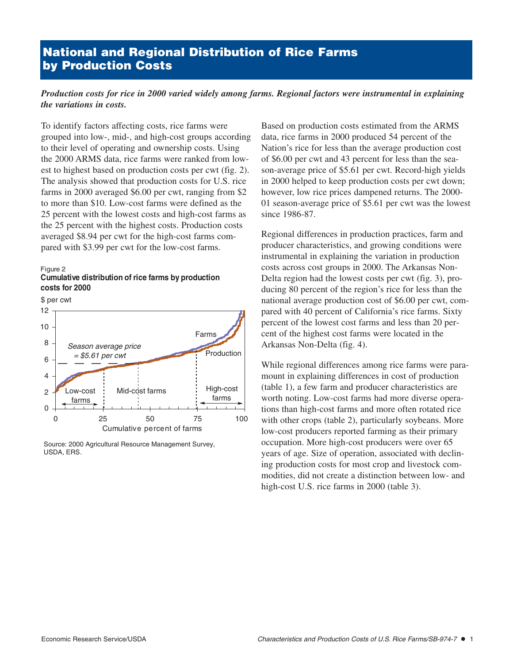# **National and Regional Distribution of Rice Farms by Production Costs**

### *Production costs for rice in 2000 varied widely among farms. Regional factors were instrumental in explaining the variations in costs.*

To identify factors affecting costs, rice farms were grouped into low-, mid-, and high-cost groups according to their level of operating and ownership costs. Using the 2000 ARMS data, rice farms were ranked from lowest to highest based on production costs per cwt (fig. 2). The analysis showed that production costs for U.S. rice farms in 2000 averaged \$6.00 per cwt, ranging from \$2 to more than \$10. Low-cost farms were defined as the 25 percent with the lowest costs and high-cost farms as the 25 percent with the highest costs. Production costs averaged \$8.94 per cwt for the high-cost farms compared with \$3.99 per cwt for the low-cost farms.

#### Figure 2

### **Cumulative distribution of rice farms by production costs for 2000**

\$ per cwt



Source: 2000 Agricultural Resource Management Survey, USDA, ERS.

Based on production costs estimated from the ARMS data, rice farms in 2000 produced 54 percent of the Nation's rice for less than the average production cost of \$6.00 per cwt and 43 percent for less than the season-average price of \$5.61 per cwt. Record-high yields in 2000 helped to keep production costs per cwt down; however, low rice prices dampened returns. The 2000- 01 season-average price of \$5.61 per cwt was the lowest since 1986-87.

Regional differences in production practices, farm and producer characteristics, and growing conditions were instrumental in explaining the variation in production costs across cost groups in 2000. The Arkansas Non-Delta region had the lowest costs per cwt (fig. 3), producing 80 percent of the region's rice for less than the national average production cost of \$6.00 per cwt, compared with 40 percent of California's rice farms. Sixty percent of the lowest cost farms and less than 20 percent of the highest cost farms were located in the Arkansas Non-Delta (fig. 4).

While regional differences among rice farms were paramount in explaining differences in cost of production (table 1), a few farm and producer characteristics are worth noting. Low-cost farms had more diverse operations than high-cost farms and more often rotated rice with other crops (table 2), particularly soybeans. More low-cost producers reported farming as their primary occupation. More high-cost producers were over 65 years of age. Size of operation, associated with declining production costs for most crop and livestock commodities, did not create a distinction between low- and high-cost U.S. rice farms in 2000 (table 3).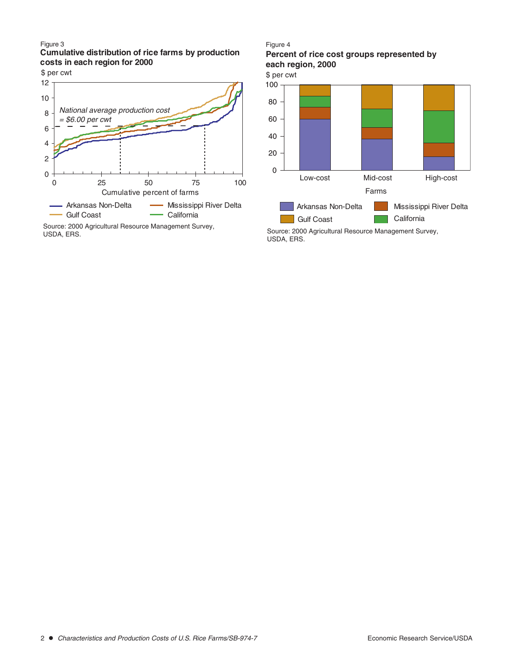Figure 3

**Cumulative distribution of rice farms by production costs in each region for 2000**

\$ per cwt



USDA, ERS.

#### Figure 4

### **Percent of rice cost groups represented by each region, 2000**

\$ per cwt

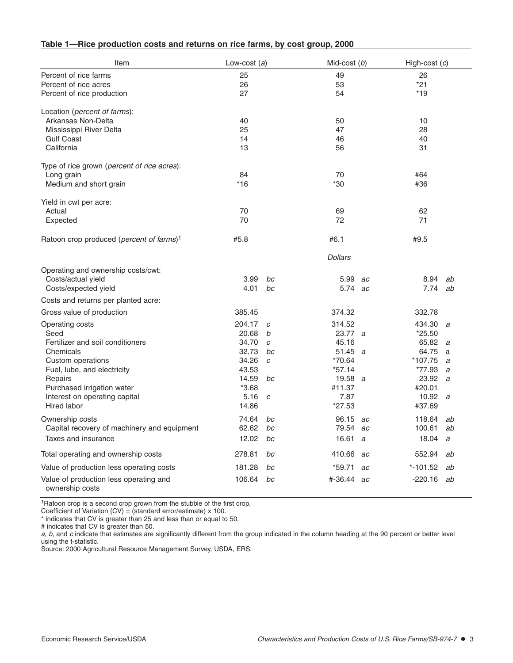| Item                                                      | Low-cost $(a)$ |                | Mid-cost $(b)$ |    | High-cost $(c)$ |    |  |
|-----------------------------------------------------------|----------------|----------------|----------------|----|-----------------|----|--|
| Percent of rice farms                                     | 25             |                | 49             |    | 26              |    |  |
| Percent of rice acres                                     | 26             |                | 53             |    | $*21$           |    |  |
| Percent of rice production                                | 27             |                | 54             |    | $*19$           |    |  |
| Location (percent of farms):                              |                |                |                |    |                 |    |  |
| Arkansas Non-Delta                                        | 40             |                | 50             |    | 10              |    |  |
| Mississippi River Delta                                   | 25             |                | 47             |    | 28              |    |  |
| <b>Gulf Coast</b>                                         | 14             |                | 46             |    | 40              |    |  |
| California                                                | 13             |                | 56             |    | 31              |    |  |
| Type of rice grown (percent of rice acres):               |                |                |                |    |                 |    |  |
| Long grain                                                | 84             |                | 70             |    | #64             |    |  |
| Medium and short grain                                    | $*16$          |                | *30            |    | #36             |    |  |
| Yield in cwt per acre:                                    |                |                |                |    |                 |    |  |
| Actual                                                    | 70             |                | 69             |    | 62              |    |  |
| Expected                                                  | 70             |                | 72             |    | 71              |    |  |
| Ratoon crop produced (percent of farms) <sup>1</sup>      | #5.8           |                | #6.1           |    | #9.5            |    |  |
|                                                           |                |                | <b>Dollars</b> |    |                 |    |  |
| Operating and ownership costs/cwt:                        |                |                |                |    |                 |    |  |
| Costs/actual yield                                        | 3.99           | bc             | 5.99           | ac | 8.94            | ab |  |
| Costs/expected yield                                      | 4.01           | bc             | 5.74 ac        |    | 7.74            | ab |  |
| Costs and returns per planted acre:                       |                |                |                |    |                 |    |  |
| Gross value of production                                 | 385.45         |                | 374.32         |    | 332.78          |    |  |
| Operating costs                                           | 204.17         | C              | 314.52         |    | 434.30          | a  |  |
| Seed                                                      | 20.68          | b              | 23.77 a        |    | $*25.50$        |    |  |
| Fertilizer and soil conditioners                          | 34.70          | C              | 45.16          |    | 65.82           | a  |  |
| Chemicals                                                 | 32.73          | bc             | 51.45 $a$      |    | 64.75           | a  |  |
| Custom operations                                         | 34.26          | C              | *70.64         |    | *107.75         | a  |  |
| Fuel, lube, and electricity                               | 43.53          |                | $*57.14$       |    | *77.93          | a  |  |
| Repairs                                                   | 14.59          | bc             | 19.58 $a$      |    | 23.92           | a  |  |
| Purchased irrigation water                                | $*3.68$        |                | #11.37         |    | #20.01          |    |  |
| Interest on operating capital                             | 5.16           | $\overline{c}$ | 7.87           |    | 10.92 $a$       |    |  |
| Hired labor                                               | 14.86          |                | $*27.53$       |    | #37.69          |    |  |
| Ownership costs                                           | 74.64          | bc             | 96.15 ac       |    | 118.64          | ab |  |
| Capital recovery of machinery and equipment               | 62.62          | $bc\,$         | 79.54 ac       |    | 100.61          | ab |  |
| Taxes and insurance                                       | 12.02          | bc             | 16.61 $a$      |    | 18.04           | а  |  |
| Total operating and ownership costs                       | 278.81         | bc             | 410.66 ac      |    | 552.94          | ab |  |
| Value of production less operating costs                  | 181.28         | bc             | $*59.71$       | ac | $* - 101.52$    | ab |  |
| Value of production less operating and<br>ownership costs | 106.64         | bc             | #-36.44 ac     |    | $-220.16$       | ab |  |

### **Table 1—Rice production costs and returns on rice farms, by cost group, 2000**

<sup>1</sup>Ratoon crop is a second crop grown from the stubble of the first crop.

Coefficient of Variation (CV) = (standard error/estimate) x 100.

\* indicates that CV is greater than 25 and less than or equal to 50.

# indicates that CV is greater than 50.

a, b, and c indicate that estimates are significantly different from the group indicated in the column heading at the 90 percent or better level using the t-statistic.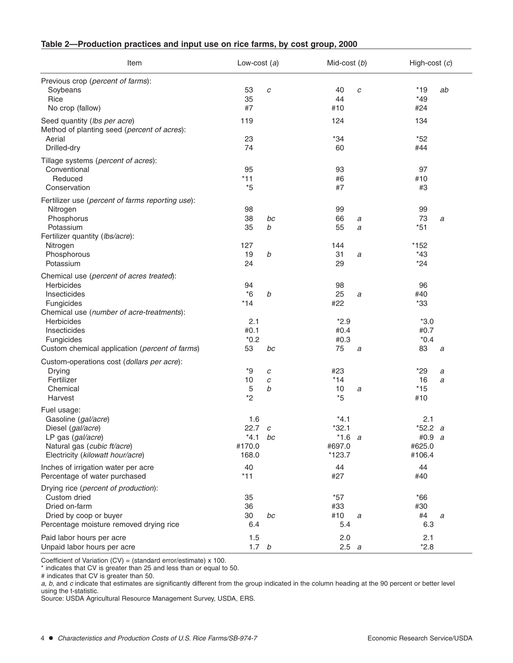| Table 2-Production practices and input use on rice farms, by cost group, 2000 |  |  |  |  |  |
|-------------------------------------------------------------------------------|--|--|--|--|--|
|-------------------------------------------------------------------------------|--|--|--|--|--|

| Item                                                                        | Low-cost $(a)$   |    | Mid-cost (b) |                  | High-cost $(c)$ |    |  |
|-----------------------------------------------------------------------------|------------------|----|--------------|------------------|-----------------|----|--|
| Previous crop (percent of farms):                                           |                  |    |              |                  |                 |    |  |
| Soybeans                                                                    | 53               | C  | 40           | C                | $*19$           | ab |  |
| Rice                                                                        | 35               |    | 44           |                  | $*49$           |    |  |
| No crop (fallow)                                                            | #7               |    | #10          |                  | #24             |    |  |
| Seed quantity (lbs per acre)<br>Method of planting seed (percent of acres): | 119              |    | 124          |                  | 134             |    |  |
| Aerial                                                                      | 23               |    | $*34$        |                  | $*52$           |    |  |
| Drilled-dry                                                                 | 74               |    | 60           |                  | #44             |    |  |
| Tillage systems (percent of acres):<br>Conventional                         | 95               |    | 93           |                  | 97              |    |  |
| Reduced                                                                     | $*11$            |    | #6           |                  | #10             |    |  |
| Conservation                                                                | $*5$             |    | #7           |                  | #3              |    |  |
|                                                                             |                  |    |              |                  |                 |    |  |
| Fertilizer use (percent of farms reporting use):                            |                  |    |              |                  |                 |    |  |
| Nitrogen                                                                    | 98               |    | 99           |                  | 99              |    |  |
| Phosphorus                                                                  | 38               | bc | 66           | $\boldsymbol{a}$ | 73              | a  |  |
| Potassium                                                                   | 35               | b  | 55           | a                | $*51$           |    |  |
| Fertilizer quantity (Ibs/acre):                                             |                  |    |              |                  |                 |    |  |
| Nitrogen                                                                    | 127              |    | 144          |                  | *152            |    |  |
| Phosphorous                                                                 | 19               | b  | 31           | a                | $*43$           |    |  |
| Potassium                                                                   | 24               |    | 29           |                  | $*24$           |    |  |
| Chemical use (percent of acres treated):                                    |                  |    |              |                  |                 |    |  |
| Herbicides                                                                  | 94               |    | 98           |                  | 96              |    |  |
| Insecticides                                                                | $*6$             | b  | 25           | a                | #40             |    |  |
| Fungicides                                                                  | $*14$            |    | #22          |                  | $*33$           |    |  |
| Chemical use (number of acre-treatments):                                   |                  |    |              |                  |                 |    |  |
| <b>Herbicides</b>                                                           | 2.1              |    | $*2.9$       |                  | $*3.0$          |    |  |
| Insecticides                                                                | #0.1             |    | #0.4         |                  | #0.7            |    |  |
| Fungicides                                                                  | $*0.2$           |    | #0.3         |                  | $*0.4$          |    |  |
| Custom chemical application (percent of farms)                              | 53               | bc | 75           | a                | 83              | a  |  |
| Custom-operations cost (dollars per acre):                                  |                  |    |              |                  |                 |    |  |
| Drying                                                                      | *9               | с  | #23          |                  | $*29$           | a  |  |
| Fertilizer                                                                  | 10               | С  | $*14$        |                  | 16              | a  |  |
| Chemical                                                                    | 5                | b  | 10           | а                | $*15$           |    |  |
| Harvest                                                                     | $*2$             |    | $*5$         |                  | #10             |    |  |
| Fuel usage:                                                                 |                  |    |              |                  |                 |    |  |
| Gasoline (gal/acre)                                                         | 1.6              |    | $*4.1$       |                  | 2.1             |    |  |
| Diesel (gal/acre)                                                           | 22.7 $c$         |    | $*32.1$      |                  | $*52.2 a$       |    |  |
| LP gas (gal/acre)                                                           | $*4.1$           | bc | $*1.6 a$     |                  | #0.9 $a$        |    |  |
| Natural gas (cubic ft/acre)                                                 | #170.0           |    | #697.0       |                  | #625.0          |    |  |
| Electricity (kilowatt hour/acre)                                            | 168.0            |    | $*123.7$     |                  | #106.4          |    |  |
| Inches of irrigation water per acre                                         | 40               |    | 44           |                  | 44              |    |  |
| Percentage of water purchased                                               | $*11$            |    | #27          |                  | #40             |    |  |
|                                                                             |                  |    |              |                  |                 |    |  |
| Drying rice (percent of production):                                        |                  |    |              |                  |                 |    |  |
| Custom dried                                                                | 35               |    | $*57$        |                  | $*66$           |    |  |
| Dried on-farm                                                               | 36               |    | #33          |                  | #30             |    |  |
| Dried by coop or buyer                                                      | 30               | bc | #10          | a                | #4              | а  |  |
| Percentage moisture removed drying rice                                     | 6.4              |    | 5.4          |                  | 6.3             |    |  |
| Paid labor hours per acre                                                   | 1.5              |    | 2.0          |                  | 2.1             |    |  |
| Unpaid labor hours per acre                                                 | 1.7 <sub>b</sub> |    | 2.5 a        |                  | $*2.8$          |    |  |

Coefficient of Variation (CV) = (standard error/estimate) x 100.

\* indicates that CV is greater than 25 and less than or equal to 50.

# indicates that CV is greater than 50.

a, b, and c indicate that estimates are significantly different from the group indicated in the column heading at the 90 percent or better level using the t-statistic.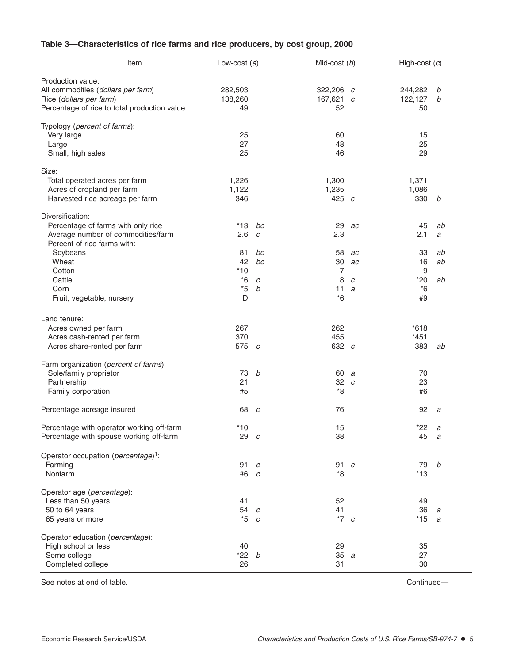| Item                                                                                                                                | Low-cost $(a)$                         |                                   | Mid-cost $(b)$                   |                    | High-cost $(c)$                      |                     |
|-------------------------------------------------------------------------------------------------------------------------------------|----------------------------------------|-----------------------------------|----------------------------------|--------------------|--------------------------------------|---------------------|
| Production value:<br>All commodities (dollars per farm)<br>Rice (dollars per farm)<br>Percentage of rice to total production value  | 282,503<br>138,260<br>49               |                                   | 322,206 $c$<br>167,621 $c$<br>52 |                    | 244,282<br>122,127<br>50             | b<br>b              |
| Typology (percent of farms):<br>Very large<br>Large<br>Small, high sales                                                            | 25<br>27<br>25                         |                                   | 60<br>48<br>46                   |                    | 15<br>25<br>29                       |                     |
| Size:<br>Total operated acres per farm<br>Acres of cropland per farm<br>Harvested rice acreage per farm                             | 1,226<br>1,122<br>346                  |                                   | 1,300<br>1,235<br>425 $c$        |                    | 1,371<br>1,086<br>330                | b                   |
| Diversification:<br>Percentage of farms with only rice<br>Average number of commodities/farm<br>Percent of rice farms with:         | *13<br>2.6                             | bc<br>C                           | 29<br>2.3                        | ac                 | 45<br>2.1                            | ab<br>a             |
| Soybeans<br>Wheat<br>Cotton<br>Cattle<br>Corn<br>Fruit, vegetable, nursery                                                          | 81<br>42<br>$*10$<br>$*6$<br>$*5$<br>D | bc<br>bc<br>C<br>$\boldsymbol{b}$ | 58<br>30<br>7<br>8<br>11<br>$*6$ | ac<br>ac<br>C<br>a | 33<br>16<br>9<br>$*20$<br>$*6$<br>#9 | ab<br>ab<br>ab      |
| Land tenure:<br>Acres owned per farm<br>Acres cash-rented per farm                                                                  | 267<br>370                             |                                   | 262<br>455                       |                    | $*618$<br>$*451$                     |                     |
| Acres share-rented per farm<br>Farm organization (percent of farms):<br>Sole/family proprietor<br>Partnership<br>Family corporation | 575 $c$<br>73<br>21<br>#5              | b                                 | 632 c<br>60 a<br>$32\,c$<br>*8   |                    | 383<br>70<br>23<br>#6                | ab                  |
| Percentage acreage insured                                                                                                          | 68                                     | c                                 | 76                               |                    | 92                                   | a                   |
| Percentage with operator working off-farm<br>Percentage with spouse working off-farm                                                | $*10$<br>29 $c$                        |                                   | 15<br>38                         |                    | $*22$<br>45                          | $\overline{a}$<br>a |
| Operator occupation (percentage) <sup>1</sup> :<br>Farming<br>Nonfarm                                                               | 91<br>#6 c                             | $\boldsymbol{c}$                  | 91 $c$<br>*8                     |                    | 79<br>$*13$                          | $\it{b}$            |
| Operator age (percentage):<br>Less than 50 years<br>50 to 64 years<br>65 years or more                                              | 41<br>54<br>$*5$                       | $\overline{c}$<br>$\overline{c}$  | 52<br>41<br>$*7$ c               |                    | 49<br>36<br>$*15$                    | a<br>a              |
| Operator education (percentage):<br>High school or less<br>Some college<br>Completed college                                        | 40<br>$*22 b$<br>26                    |                                   | 29<br>35a<br>31                  |                    | 35<br>27<br>30                       |                     |

## **Table 3—Characteristics of rice farms and rice producers, by cost group, 2000**

See notes at end of table. Continued—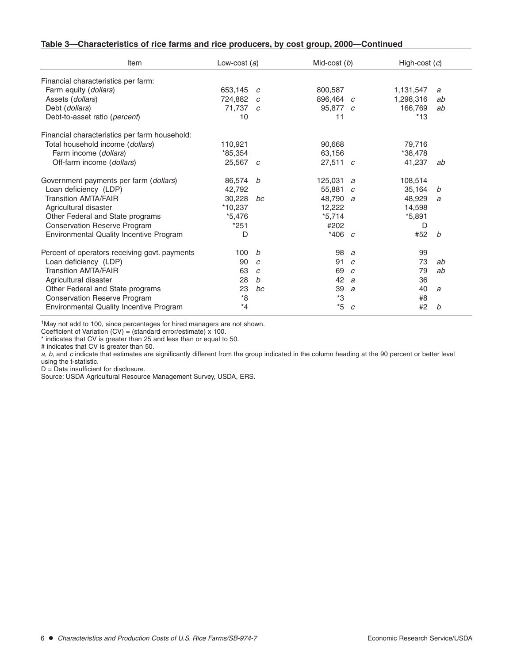| Item                                          | Low-cost $(a)$ |                  | Mid-cost $(b)$ |               | High-cost $(c)$ |                |
|-----------------------------------------------|----------------|------------------|----------------|---------------|-----------------|----------------|
| Financial characteristics per farm:           |                |                  |                |               |                 |                |
| Farm equity (dollars)                         | 653,145        | $\mathcal C$     | 800,587        |               | 1,131,547       | a              |
| Assets (dollars)                              | 724.882        | $\overline{c}$   | 896.464 c      |               | 1,298,316       | ab             |
| Debt (dollars)                                | 71,737 c       |                  | 95,877 c       |               | 166,769         | ab             |
| Debt-to-asset ratio (percent)                 | 10             |                  | 11             |               | $*13$           |                |
| Financial characteristics per farm household: |                |                  |                |               |                 |                |
| Total household income (dollars)              | 110,921        |                  | 90,668         |               | 79,716          |                |
| Farm income (dollars)                         | *85,354        |                  | 63,156         |               | *38,478         |                |
| Off-farm income (dollars)                     | $25,567$ c     |                  | $27,511$ c     |               | 41,237          | ab             |
| Government payments per farm (dollars)        | 86,574         | b                | 125,031 a      |               | 108,514         |                |
| Loan deficiency (LDP)                         | 42.792         |                  | 55.881 $c$     |               | 35,164          | b              |
| <b>Transition AMTA/FAIR</b>                   | 30.228         | bc               | 48,790 a       |               | 48,929          | a              |
| Agricultural disaster                         | $*10,237$      |                  | 12,222         |               | 14,598          |                |
| Other Federal and State programs              | $*5,476$       |                  | $*5,714$       |               | $*5,891$        |                |
| <b>Conservation Reserve Program</b>           | $*251$         |                  | #202           |               | D               |                |
| Environmental Quality Incentive Program       | D              |                  | *406 $c$       |               | #52             | b              |
| Percent of operators receiving govt. payments | 100            | b                | 98             | a             | 99              |                |
| Loan deficiency (LDP)                         | 90             | $\mathcal{C}$    | 91             | C             | 73              | ab             |
| <b>Transition AMTA/FAIR</b>                   | 63             | $\boldsymbol{C}$ | 69             | $\mathcal{C}$ | 79              | ab             |
| Agricultural disaster                         | 28             | b                | 42 a           |               | 36              |                |
| Other Federal and State programs              | 23             | bc               | 39             | a             | 40              | $\overline{a}$ |
| <b>Conservation Reserve Program</b>           | *8             |                  | *3             |               | #8              |                |
| Environmental Quality Incentive Program       | $*_{4}$        |                  | *5             | $\mathcal{C}$ | #2              | b              |

### **Table 3—Characteristics of rice farms and rice producers, by cost group, 2000—Continued**

1May not add to 100, since percentages for hired managers are not shown.

Coefficient of Variation (CV) = (standard error/estimate) x 100.

\* indicates that CV is greater than 25 and less than or equal to 50.

# indicates that CV is greater than 50.

a, b, and c indicate that estimates are significantly different from the group indicated in the column heading at the 90 percent or better level using the t-statistic.

 $D = \overline{D}$  ata insufficient for disclosure.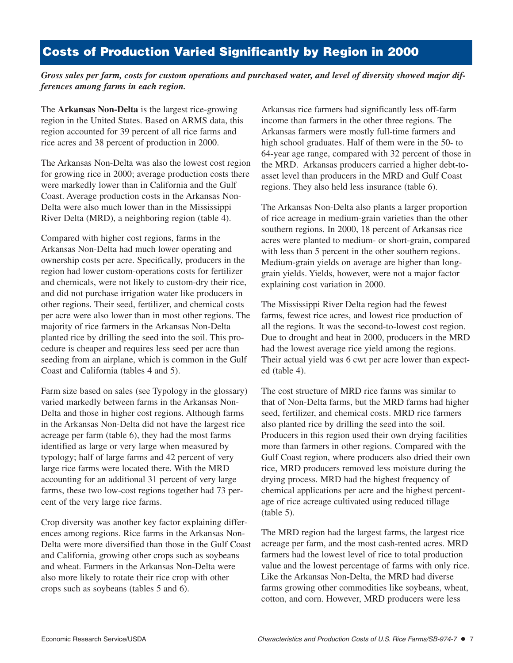# **Costs of Production Varied Significantly by Region in 2000**

*Gross sales per farm, costs for custom operations and purchased water, and level of diversity showed major differences among farms in each region.* 

The **Arkansas Non-Delta** is the largest rice-growing region in the United States. Based on ARMS data, this region accounted for 39 percent of all rice farms and rice acres and 38 percent of production in 2000.

The Arkansas Non-Delta was also the lowest cost region for growing rice in 2000; average production costs there were markedly lower than in California and the Gulf Coast. Average production costs in the Arkansas Non-Delta were also much lower than in the Mississippi River Delta (MRD), a neighboring region (table 4).

Compared with higher cost regions, farms in the Arkansas Non-Delta had much lower operating and ownership costs per acre. Specifically, producers in the region had lower custom-operations costs for fertilizer and chemicals, were not likely to custom-dry their rice, and did not purchase irrigation water like producers in other regions. Their seed, fertilizer, and chemical costs per acre were also lower than in most other regions. The majority of rice farmers in the Arkansas Non-Delta planted rice by drilling the seed into the soil. This procedure is cheaper and requires less seed per acre than seeding from an airplane, which is common in the Gulf Coast and California (tables 4 and 5).

Farm size based on sales (see Typology in the glossary) varied markedly between farms in the Arkansas Non-Delta and those in higher cost regions. Although farms in the Arkansas Non-Delta did not have the largest rice acreage per farm (table 6), they had the most farms identified as large or very large when measured by typology; half of large farms and 42 percent of very large rice farms were located there. With the MRD accounting for an additional 31 percent of very large farms, these two low-cost regions together had 73 percent of the very large rice farms.

Crop diversity was another key factor explaining differences among regions. Rice farms in the Arkansas Non-Delta were more diversified than those in the Gulf Coast and California, growing other crops such as soybeans and wheat. Farmers in the Arkansas Non-Delta were also more likely to rotate their rice crop with other crops such as soybeans (tables 5 and 6).

Arkansas rice farmers had significantly less off-farm income than farmers in the other three regions. The Arkansas farmers were mostly full-time farmers and high school graduates. Half of them were in the 50- to 64-year age range, compared with 32 percent of those in the MRD. Arkansas producers carried a higher debt-toasset level than producers in the MRD and Gulf Coast regions. They also held less insurance (table 6).

The Arkansas Non-Delta also plants a larger proportion of rice acreage in medium-grain varieties than the other southern regions. In 2000, 18 percent of Arkansas rice acres were planted to medium- or short-grain, compared with less than 5 percent in the other southern regions. Medium-grain yields on average are higher than longgrain yields. Yields, however, were not a major factor explaining cost variation in 2000.

The Mississippi River Delta region had the fewest farms, fewest rice acres, and lowest rice production of all the regions. It was the second-to-lowest cost region. Due to drought and heat in 2000, producers in the MRD had the lowest average rice yield among the regions. Their actual yield was 6 cwt per acre lower than expected (table 4).

The cost structure of MRD rice farms was similar to that of Non-Delta farms, but the MRD farms had higher seed, fertilizer, and chemical costs. MRD rice farmers also planted rice by drilling the seed into the soil. Producers in this region used their own drying facilities more than farmers in other regions. Compared with the Gulf Coast region, where producers also dried their own rice, MRD producers removed less moisture during the drying process. MRD had the highest frequency of chemical applications per acre and the highest percentage of rice acreage cultivated using reduced tillage (table 5).

The MRD region had the largest farms, the largest rice acreage per farm, and the most cash-rented acres. MRD farmers had the lowest level of rice to total production value and the lowest percentage of farms with only rice. Like the Arkansas Non-Delta, the MRD had diverse farms growing other commodities like soybeans, wheat, cotton, and corn. However, MRD producers were less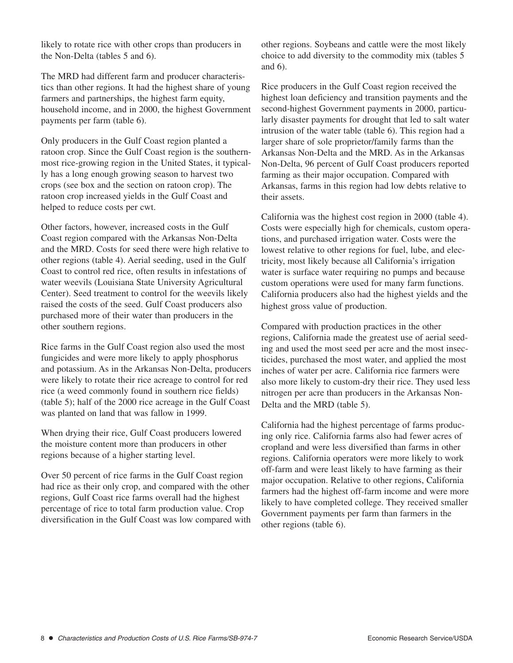likely to rotate rice with other crops than producers in the Non-Delta (tables 5 and 6).

The MRD had different farm and producer characteristics than other regions. It had the highest share of young farmers and partnerships, the highest farm equity, household income, and in 2000, the highest Government payments per farm (table 6).

Only producers in the Gulf Coast region planted a ratoon crop. Since the Gulf Coast region is the southernmost rice-growing region in the United States, it typically has a long enough growing season to harvest two crops (see box and the section on ratoon crop). The ratoon crop increased yields in the Gulf Coast and helped to reduce costs per cwt.

Other factors, however, increased costs in the Gulf Coast region compared with the Arkansas Non-Delta and the MRD. Costs for seed there were high relative to other regions (table 4). Aerial seeding, used in the Gulf Coast to control red rice, often results in infestations of water weevils (Louisiana State University Agricultural Center). Seed treatment to control for the weevils likely raised the costs of the seed. Gulf Coast producers also purchased more of their water than producers in the other southern regions.

Rice farms in the Gulf Coast region also used the most fungicides and were more likely to apply phosphorus and potassium. As in the Arkansas Non-Delta, producers were likely to rotate their rice acreage to control for red rice (a weed commonly found in southern rice fields) (table 5); half of the 2000 rice acreage in the Gulf Coast was planted on land that was fallow in 1999.

When drying their rice, Gulf Coast producers lowered the moisture content more than producers in other regions because of a higher starting level.

Over 50 percent of rice farms in the Gulf Coast region had rice as their only crop, and compared with the other regions, Gulf Coast rice farms overall had the highest percentage of rice to total farm production value. Crop diversification in the Gulf Coast was low compared with other regions. Soybeans and cattle were the most likely choice to add diversity to the commodity mix (tables 5 and 6).

Rice producers in the Gulf Coast region received the highest loan deficiency and transition payments and the second-highest Government payments in 2000, particularly disaster payments for drought that led to salt water intrusion of the water table (table 6). This region had a larger share of sole proprietor/family farms than the Arkansas Non-Delta and the MRD. As in the Arkansas Non-Delta, 96 percent of Gulf Coast producers reported farming as their major occupation. Compared with Arkansas, farms in this region had low debts relative to their assets.

California was the highest cost region in 2000 (table 4). Costs were especially high for chemicals, custom operations, and purchased irrigation water. Costs were the lowest relative to other regions for fuel, lube, and electricity, most likely because all California's irrigation water is surface water requiring no pumps and because custom operations were used for many farm functions. California producers also had the highest yields and the highest gross value of production.

Compared with production practices in the other regions, California made the greatest use of aerial seeding and used the most seed per acre and the most insecticides, purchased the most water, and applied the most inches of water per acre. California rice farmers were also more likely to custom-dry their rice. They used less nitrogen per acre than producers in the Arkansas Non-Delta and the MRD (table 5).

California had the highest percentage of farms producing only rice. California farms also had fewer acres of cropland and were less diversified than farms in other regions. California operators were more likely to work off-farm and were least likely to have farming as their major occupation. Relative to other regions, California farmers had the highest off-farm income and were more likely to have completed college. They received smaller Government payments per farm than farmers in the other regions (table 6).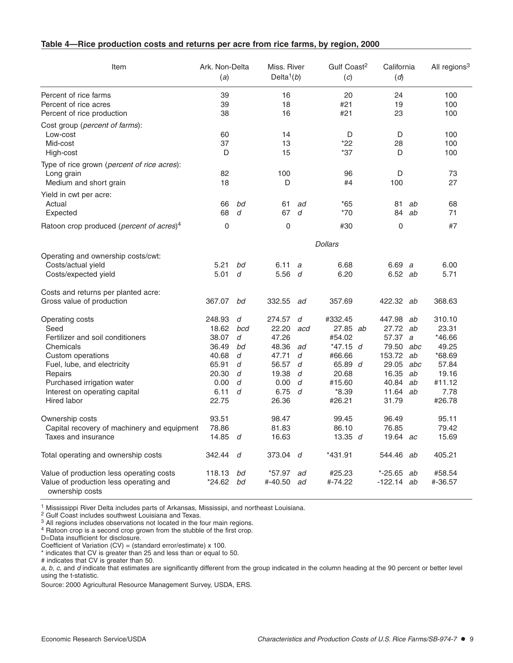| Table 4-Rice production costs and returns per acre from rice farms, by region, 2000 |  |
|-------------------------------------------------------------------------------------|--|
|-------------------------------------------------------------------------------------|--|

| Item                                                          | Ark. Non-Delta<br>(a) |        | Miss, River<br>Delta <sup>1</sup> $(b)$ |        | Gulf Coast <sup>2</sup><br>(c) | California<br>(d) |          | All regions <sup>3</sup> |
|---------------------------------------------------------------|-----------------------|--------|-----------------------------------------|--------|--------------------------------|-------------------|----------|--------------------------|
| Percent of rice farms                                         | 39                    |        | 16                                      |        | 20                             | 24                |          | 100                      |
| Percent of rice acres                                         | 39                    |        | 18                                      |        | #21                            | 19                |          | 100                      |
| Percent of rice production                                    | 38                    |        | 16                                      |        | #21                            | 23                |          | 100                      |
| Cost group ( <i>percent of farms</i> ):                       |                       |        |                                         |        |                                |                   |          |                          |
| Low-cost                                                      | 60                    |        | 14                                      |        | D                              | D                 |          | 100                      |
| Mid-cost                                                      | 37                    |        | 13                                      |        | *22                            | 28                |          | 100                      |
| High-cost                                                     | D                     |        | 15                                      |        | *37                            | D                 |          | 100                      |
| Type of rice grown (percent of rice acres):                   |                       |        |                                         |        |                                |                   |          |                          |
| Long grain                                                    | 82                    |        | 100                                     |        | 96                             | D                 |          | 73                       |
| Medium and short grain                                        | 18                    |        | D                                       |        | #4                             | 100               |          | 27                       |
| Yield in cwt per acre:                                        |                       |        |                                         |        |                                |                   |          |                          |
| Actual                                                        | 66                    | bd     | 61                                      | ad     | *65                            | 81                | ab       | 68                       |
| Expected                                                      | 68                    | d      | 67                                      | d      | *70                            | 84                | ab       | 71                       |
| Ratoon crop produced ( <i>percent of acres</i> ) <sup>4</sup> | $\mathbf 0$           |        | $\mathbf 0$                             |        | #30                            | $\mathbf 0$       |          | #7                       |
|                                                               |                       |        |                                         |        | <b>Dollars</b>                 |                   |          |                          |
| Operating and ownership costs/cwt:                            |                       |        |                                         |        |                                |                   |          |                          |
| Costs/actual yield                                            | 5.21                  | bd     | 6.11                                    | a      | 6.68                           | 6.69 a            |          | 6.00                     |
| Costs/expected yield                                          | 5.01                  | d      | 5.56                                    | d      | 6.20                           | 6.52 ab           |          | 5.71                     |
| Costs and returns per planted acre:                           |                       |        |                                         |        |                                |                   |          |                          |
| Gross value of production                                     | 367.07                | bd     | 332.55                                  | ad     | 357.69                         | 422.32 ab         |          | 368.63                   |
| Operating costs                                               | 248.93                | d      | 274.57                                  | d      | #332.45                        | 447.98            | ab       | 310.10                   |
| Seed                                                          | 18.62                 | bcd    | 22.20                                   | acd    | $27.85$ ab                     | 27.72 ab          |          | 23.31                    |
| Fertilizer and soil conditioners                              | 38.07                 | d      | 47.26                                   |        | #54.02                         | 57.37             | a        | *46.66                   |
| Chemicals                                                     | 36.49                 | bd     | 48.36                                   | ad     | $*47.15$ d                     | 79.50 abc         |          | 49.25                    |
| Custom operations                                             | 40.68                 | d      | 47.71                                   | d      | #66.66                         | 153.72            | ab       | $*68.69$                 |
| Fuel, lube, and electricity                                   | 65.91                 | d      | 56.57                                   | d      | 65.89 $d$                      | 29.05             | abc      | 57.84                    |
| Repairs<br>Purchased irrigation water                         | 20.30<br>0.00         | d<br>d | 19.38<br>0.00                           | d<br>d | 20.68<br>#15.60                | 16.35<br>40.84    | ab<br>ab | 19.16<br>#11.12          |
| Interest on operating capital                                 | 6.11                  | d      | 6.75                                    | d      | $*8.39$                        | 11.64             | ab       | 7.78                     |
| Hired labor                                                   | 22.75                 |        | 26.36                                   |        | #26.21                         | 31.79             |          | #26.78                   |
| Ownership costs                                               | 93.51                 |        | 98.47                                   |        | 99.45                          | 96.49             |          | 95.11                    |
| Capital recovery of machinery and equipment                   | 78.86                 |        | 81.83                                   |        | 86.10                          | 76.85             |          | 79.42                    |
| Taxes and insurance                                           | 14.85                 | d      | 16.63                                   |        | 13.35 $d$                      | 19.64             | ac       | 15.69                    |
| Total operating and ownership costs                           | 342.44                | d      | 373.04                                  | d      | *431.91                        | 544.46            | ab       | 405.21                   |
| Value of production less operating costs                      | 118.13                | bd     | *57.97                                  | ad     | #25.23                         | $*-25.65$         | ab       | #58.54                   |
| Value of production less operating and<br>ownership costs     | *24.62                | bd     | #-40.50                                 | ad     | #-74.22                        | $-122.14$ ab      |          | #-36.57                  |

<sup>1</sup> Mississippi River Delta includes parts of Arkansas, Mississipi, and northeast Louisiana.

<sup>2</sup> Gulf Coast includes southwest Louisiana and Texas.

 $3$  All regions includes observations not located in the four main regions.

<sup>4</sup> Ratoon crop is a second crop grown from the stubble of the first crop.

D=Data insufficient for disclosure.

\* indicates that CV is greater than 25 and less than or equal to 50.

# indicates that CV is greater than 50.

a, b, c, and d indicate that estimates are significantly different from the group indicated in the column heading at the 90 percent or better level using the t-statistic.

Coefficient of Variation (CV) = (standard error/estimate) x 100.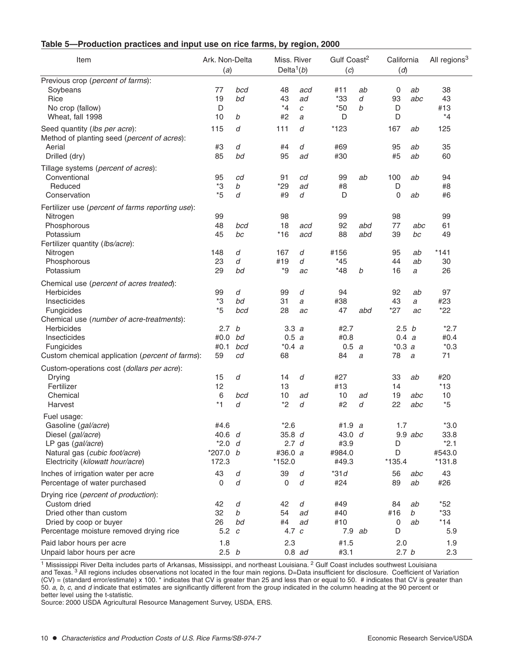| Table 5-Production practices and input use on rice farms, by region, 2000 |  |  |  |  |
|---------------------------------------------------------------------------|--|--|--|--|
|---------------------------------------------------------------------------|--|--|--|--|

| Item                                                                                                                                                                                                                                    | Ark. Non-Delta<br>(a)                             |                                        | Miss. River<br>Delta <sup>1</sup> $(b)$           |                             | Gulf Coast <sup>2</sup><br>(c)               |                 | California<br>(d)                                                |                            | All regions <sup>3</sup>                             |
|-----------------------------------------------------------------------------------------------------------------------------------------------------------------------------------------------------------------------------------------|---------------------------------------------------|----------------------------------------|---------------------------------------------------|-----------------------------|----------------------------------------------|-----------------|------------------------------------------------------------------|----------------------------|------------------------------------------------------|
| Previous crop (percent of farms):<br>Soybeans<br>Rice<br>No crop (fallow)<br>Wheat, fall 1998                                                                                                                                           | 77<br>19<br>D<br>10                               | bcd<br>bd<br>b                         | 48<br>43<br>$*_{4}$<br>#2                         | acd<br>ad<br>С<br>a         | #11<br>$*33$<br>$*50$<br>D                   | ab<br>d<br>b    | 0<br>93<br>D<br>D                                                | ab<br>abc                  | 38<br>43<br>#13<br>$*_{4}$                           |
| Seed quantity (lbs per acre):<br>Method of planting seed (percent of acres):<br>Aerial<br>Drilled (dry)                                                                                                                                 | 115<br>#3<br>85                                   | d<br>d<br>bd                           | 111<br>#4<br>95                                   | d<br>d<br>ad                | *123<br>#69<br>#30                           |                 | 167<br>95<br>#5                                                  | ab<br>ab<br>ab             | 125<br>35<br>60                                      |
| Tillage systems (percent of acres):<br>Conventional<br>Reduced<br>Conservation                                                                                                                                                          | 95<br>*3<br>$*5$                                  | cd<br>$\boldsymbol{b}$<br>d            | 91<br>$*29$<br>#9                                 | cd<br>ad<br>d               | 99<br>#8<br>D                                | ab              | 100<br>D<br>0                                                    | ab<br>ab                   | 94<br>#8<br>#6                                       |
| Fertilizer use (percent of farms reporting use):<br>Nitrogen<br>Phosphorous<br>Potassium<br>Fertilizer quantity (Ibs/acre):<br>Nitrogen<br>Phosphorous<br>Potassium                                                                     | 99<br>48<br>45<br>148<br>23<br>29                 | bcd<br>bc<br>d<br>d<br>bd              | 98<br>18<br>$*16$<br>167<br>#19<br>*9             | acd<br>acd<br>d<br>d<br>ac  | 99<br>92<br>88<br>#156<br>$*45$<br>$*48$     | abd<br>abd<br>b | 98<br>77<br>39<br>95<br>44<br>16                                 | abc<br>bc<br>ab<br>ab<br>a | 99<br>61<br>49<br>$*141$<br>30<br>26                 |
| Chemical use (percent of acres treated):<br>Herbicides<br>Insecticides<br>Fungicides<br>Chemical use (number of acre-treatments):<br><b>Herbicides</b><br>Insecticides<br>Fungicides<br>Custom chemical application (percent of farms): | 99<br>*3<br>*5<br>2.7<br>#0.0<br>#0.1<br>59       | d<br>bd<br>bcd<br>b<br>bd<br>bcd<br>cd | 99<br>31<br>28<br>3.3a<br>0.5 a<br>$*0.4 a$<br>68 | d<br>$\boldsymbol{a}$<br>ac | 94<br>#38<br>47<br>#2.7<br>#0.8<br>0.5<br>84 | abd<br>a<br>a   | 92<br>43<br>$*27$<br>2.5 <sub>b</sub><br>0.4 a<br>$*0.3 a$<br>78 | ab<br>a<br>ac<br>a         | 97<br>#23<br>$*22$<br>$*2.7$<br>#0.4<br>$*0.3$<br>71 |
| Custom-operations cost (dollars per acre):<br>Drying<br>Fertilizer<br>Chemical<br>Harvest                                                                                                                                               | 15<br>12<br>6<br>*1                               | d<br>bcd<br>d                          | 14<br>13<br>10<br>*2                              | d<br>ad<br>d                | #27<br>#13<br>10<br>#2                       | ad<br>d         | 33<br>14<br>19<br>22                                             | ab<br>abc<br>abc           | #20<br>$*13$<br>10<br>$*5$                           |
| Fuel usage:<br>Gasoline (gal/acre)<br>Diesel (gal/acre)<br>LP gas (gal/acre)<br>Natural gas (cubic foot/acre)<br>Electricity (kilowatt hour/acre)                                                                                       | #4.6<br>40.6 d<br>$*2.0 d$<br>$*207.0 b$<br>172.3 |                                        | $*2.6$<br>35.8 d<br>2.7 d<br>#36.0 a<br>*152.0    |                             | #1.9 a<br>43.0 d<br>#3.9<br>#984.0<br>#49.3  |                 | 1.7<br>D<br>D<br>$*135.4$                                        | $9.9$ abc                  | $*3.0$<br>33.8<br>$*2.1$<br>#543.0<br>$*131.8$       |
| Inches of irrigation water per acre<br>Percentage of water purchased                                                                                                                                                                    | 43<br>0                                           | d<br>d                                 | 39<br>0                                           | d<br>d                      | $*31d$<br>#24                                |                 | 56<br>89                                                         | abc<br>ab                  | 43<br>#26                                            |
| Drying rice (percent of production):<br>Custom dried<br>Dried other than custom<br>Dried by coop or buyer<br>Percentage moisture removed drying rice                                                                                    | 42<br>32<br>26<br>5.2 $c$                         | d<br>b<br>bd                           | 42<br>54<br>#4<br>4.7 $c$                         | d<br>ad<br>ad               | #49<br>#40<br>#10<br>7.9 ab                  |                 | 84<br>#16<br>0<br>D                                              | ab<br>b<br>ab              | $*52$<br>$*33$<br>$*14$<br>5.9                       |
| Paid labor hours per acre<br>Unpaid labor hours per acre                                                                                                                                                                                | 1.8<br>2.5 <sub>b</sub>                           |                                        | 2.3                                               | $0.8$ ad                    | #1.5<br>#3.1                                 |                 | 2.0<br>2.7 <sub>b</sub>                                          |                            | 1.9<br>2.3                                           |

<sup>1</sup> Mississippi River Delta includes parts of Arkansas, Mississippi, and northeast Louisiana. <sup>2</sup> Gulf Coast includes southwest Louisiana and Texas.<sup>3</sup> All regions includes observations not located in the four main regions. D=Data insufficient for disclosure. Coefficient of Variation (CV) = (standard error/estimate) x 100. \* indicates that CV is greater than 25 and less than or equal to 50. # indicates that CV is greater than 50. <sup>a</sup>, b, c, and d indicate that estimates are significantly different from the group indicated in the column heading at the 90 percent or better level using the t-statistic.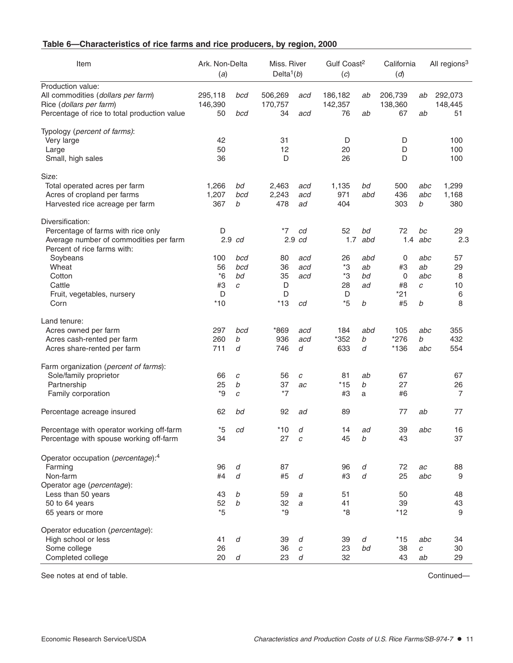## **Table 6—Characteristics of rice farms and rice producers, by region, 2000**

| Item                                                                  | Ark. Non-Delta<br>(a) |                  | Miss. River<br>Delta <sup>1</sup> $(b)$ |                  | Gulf Coast <sup>2</sup><br>(c) |     | California<br>(d) |     | All regions <sup>3</sup> |
|-----------------------------------------------------------------------|-----------------------|------------------|-----------------------------------------|------------------|--------------------------------|-----|-------------------|-----|--------------------------|
| Production value:                                                     |                       |                  |                                         |                  |                                |     |                   |     |                          |
| All commodities (dollars per farm)                                    | 295,118               | bcd              | 506,269                                 | acd              | 186,182                        | ab  | 206,739           | ab  | 292,073                  |
| Rice (dollars per farm)                                               | 146,390               |                  | 170,757                                 |                  | 142,357                        |     | 138,360           |     | 148,445                  |
| Percentage of rice to total production value                          | 50                    | bcd              | 34                                      | acd              | 76                             | ab  | 67                | ab  | 51                       |
| Typology (percent of farms):                                          |                       |                  |                                         |                  |                                |     |                   |     |                          |
| Very large                                                            | 42                    |                  | 31                                      |                  | D                              |     | D                 |     | 100                      |
| Large                                                                 | 50                    |                  | 12                                      |                  | 20                             |     | D                 |     | 100                      |
| Small, high sales                                                     | 36                    |                  | D                                       |                  | 26                             |     | D                 |     | 100                      |
| Size:                                                                 |                       |                  |                                         |                  |                                |     |                   |     |                          |
| Total operated acres per farm                                         | 1,266                 | bd               | 2,463                                   | acd              | 1,135                          | bd  | 500               | abc | 1,299                    |
| Acres of cropland per farms                                           | 1,207                 | bcd              | 2,243                                   | acd              | 971                            | abd | 436               | abc | 1,168                    |
| Harvested rice acreage per farm                                       | 367                   | b                | 478                                     | ad               | 404                            |     | 303               | b   | 380                      |
| Diversification:                                                      |                       |                  |                                         |                  |                                |     |                   |     |                          |
| Percentage of farms with rice only                                    | D                     |                  | $*7$                                    | cd               | 52                             | bd  | 72                | bc  | 29                       |
| Average number of commodities per farm<br>Percent of rice farms with: |                       | $2.9$ $cd$       |                                         | $2.9 \text{ }cd$ | 1.7                            | abd | 1.4               | abc | 2.3                      |
| Soybeans                                                              | 100                   | bcd              | 80                                      | acd              | 26                             | abd | 0                 | abc | 57                       |
| Wheat                                                                 | 56                    | bcd              | 36                                      | acd              | *3                             | ab  | #3                | ab  | 29                       |
| Cotton                                                                | $*6$                  | bd               | 35                                      | acd              | *3                             | bd  | 0                 | abc | 8                        |
| Cattle                                                                | #3                    | C                | D                                       |                  | 28                             | ad  | #8                | C   | 10                       |
| Fruit, vegetables, nursery                                            | D                     |                  | D                                       |                  | D                              |     | *21               |     | 6                        |
| Corn                                                                  | $*10$                 |                  | $*13$                                   | cd               | $*5$                           | b   | #5                | b   | 8                        |
| Land tenure:                                                          |                       |                  |                                         |                  |                                |     |                   |     |                          |
| Acres owned per farm                                                  | 297                   | bcd              | *869                                    | acd              | 184                            | abd | 105               | abc | 355                      |
| Acres cash-rented per farm                                            | 260                   | b                | 936                                     | acd              | *352                           | b   | *276              | b   | 432                      |
| Acres share-rented per farm                                           | 711                   | d                | 746                                     | d                | 633                            | d   | $*136$            | abc | 554                      |
| Farm organization (percent of farms):                                 |                       |                  |                                         |                  |                                |     |                   |     |                          |
| Sole/family proprietor                                                | 66                    | C                | 56                                      | C                | 81                             | ab  | 67                |     | 67                       |
| Partnership                                                           | 25                    | b                | 37                                      | ac               | *15                            | b   | 27                |     | 26                       |
| Family corporation                                                    | *9                    | C                | $*7$                                    |                  | #3                             | a   | #6                |     | 7                        |
| Percentage acreage insured                                            | 62                    | bd               | 92                                      | ad               | 89                             |     | 77                | ab  | 77                       |
| Percentage with operator working off-farm                             | $*5$                  | cd               | $*10$                                   | d                | 14                             | ad  | 39                | abc | 16                       |
| Percentage with spouse working off-farm                               | 34                    |                  | 27                                      | $\boldsymbol{c}$ | 45                             | b   | 43                |     | 37                       |
| Operator occupation (percentage): <sup>4</sup>                        |                       |                  |                                         |                  |                                |     |                   |     |                          |
| Farming                                                               | 96                    | d                | 87                                      |                  | 96                             | d   | 72                | ac  | 88                       |
| Non-farm                                                              | #4                    | d                | #5                                      | d                | #3                             | d   | 25                | abc | 9                        |
| Operator age (percentage):                                            |                       |                  |                                         |                  |                                |     |                   |     |                          |
| Less than 50 years                                                    | 43                    | b                | 59                                      | a                | 51                             |     | 50                |     | 48                       |
| 50 to 64 years                                                        | 52                    | b                | 32                                      | a                | 41                             |     | 39                |     | 43                       |
| 65 years or more                                                      | $*5$                  |                  | $*9$                                    |                  | *8                             |     | $*12$             |     | 9                        |
| Operator education (percentage):                                      |                       |                  |                                         |                  |                                |     |                   |     |                          |
| High school or less                                                   | 41                    | d                | 39                                      | d                | 39                             | d   | $*15$             | abc | 34                       |
| Some college                                                          | 26                    |                  | 36                                      | $\boldsymbol{c}$ | 23                             | bd  | 38                | С   | 30                       |
| Completed college                                                     | 20                    | $\boldsymbol{d}$ | 23                                      | d                | 32                             |     | 43                | ab  | 29                       |

See notes at end of table. Continued—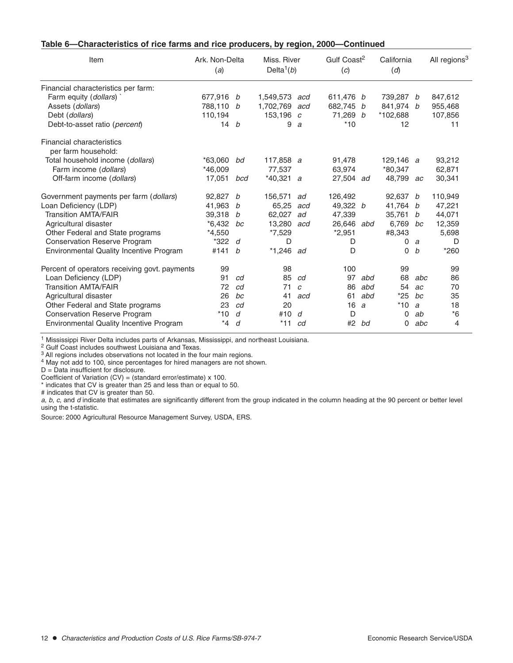| Table 6-Characteristics of rice farms and rice producers, by region, 2000-Continued |  |  |
|-------------------------------------------------------------------------------------|--|--|
|-------------------------------------------------------------------------------------|--|--|

| Item                                             | Ark. Non-Delta<br>(a) |     | Miss, River<br>Delta <sup>1</sup> $(b)$ |               | Gulf Coast <sup>2</sup><br>(c) |     | California<br>(d) |     | All regions <sup>3</sup> |  |
|--------------------------------------------------|-----------------------|-----|-----------------------------------------|---------------|--------------------------------|-----|-------------------|-----|--------------------------|--|
| Financial characteristics per farm:              |                       |     |                                         |               |                                |     |                   |     |                          |  |
| Farm equity (dollars)                            | 677,916 b             |     | 1,549,573                               | acd           | 611,476 <i>b</i>               |     | 739,287 b         |     | 847,612                  |  |
| Assets (dollars)                                 | 788,110 b             |     | 1,702,769                               | acd           | 682,745 b                      |     | 841,974 b         |     | 955,468                  |  |
| Debt (dollars)                                   | 110,194               |     | 153,196 $c$                             |               | 71,269 b                       |     | *102,688          |     | 107,856                  |  |
| Debt-to-asset ratio (percent)                    | 14 b                  |     | 9                                       | a             | $*10$                          |     | 12                |     | 11                       |  |
| Financial characteristics<br>per farm household: |                       |     |                                         |               |                                |     |                   |     |                          |  |
| Total household income (dollars)                 | $*63.060$             | bd  | 117,858 $a$                             |               | 91,478                         |     | 129,146 a         |     | 93,212                   |  |
| Farm income (dollars)                            | $*46.009$             |     | 77,537                                  |               | 63,974                         |     | *80,347           |     | 62,871                   |  |
| Off-farm income (dollars)                        | 17,051                | bcd | $*40,321$ a                             |               | 27,504 ad                      |     | 48,799            | ac  | 30,341                   |  |
|                                                  |                       |     |                                         |               |                                |     |                   |     |                          |  |
| Government payments per farm (dollars)           | 92.827                | b   | 156,571                                 | ad            | 126.492                        |     | 92.637            | b   | 110,949                  |  |
| Loan Deficiency (LDP)                            | 41,963                | b   | 65,25                                   | acd           | 49,322 $b$                     |     | 41,764            | b   | 47,221                   |  |
| <b>Transition AMTA/FAIR</b>                      | 39,318                | b   | 62,027                                  | ad            | 47,339                         |     | 35,761            | b   | 44,071                   |  |
| Agricultural disaster                            | $*6.432$              | bc  | 13.280                                  | acd           | 26.646                         | abd | 6.769             | bc  | 12,359                   |  |
| Other Federal and State programs                 | $*4.550$              |     | $*7,529$                                |               | $*2,951$                       |     | #8,343            |     | 5,698                    |  |
| <b>Conservation Reserve Program</b>              | *322                  | d   | D                                       |               | D                              |     | 0                 | a   | D                        |  |
| <b>Environmental Quality Incentive Program</b>   | #141                  | b   | $*1,246$                                | ad            | D                              |     | 0                 | b   | $*260$                   |  |
| Percent of operators receiving govt. payments    | 99                    |     | 98                                      |               | 100                            |     | 99                |     | 99                       |  |
| Loan Deficiency (LDP)                            | 91                    | cd  | 85                                      | cd            | 97                             | abd | 68                | abc | 86                       |  |
| <b>Transition AMTA/FAIR</b>                      | 72                    | cd  | 71                                      | $\mathcal{C}$ | 86                             | abd | 54                | ac  | 70                       |  |
| Agricultural disaster                            | 26                    | bc  | 41                                      | acd           | 61                             | abd | $*25$             | bc  | 35                       |  |
| Other Federal and State programs                 | 23                    | cd  | 20                                      |               | 16                             | a   | $*10$             | a   | 18                       |  |
| <b>Conservation Reserve Program</b>              | $*10$                 | d   | #10                                     | d             | D                              |     | 0                 | ab  | $*6$                     |  |
| <b>Environmental Quality Incentive Program</b>   | $*_{4}$               | d   | $*11$                                   | cd            | #2                             | bd  | $\Omega$          | abc | 4                        |  |

<sup>1</sup> Mississippi River Delta includes parts of Arkansas, Mississippi, and northeast Louisiana.

<sup>2</sup> Gulf Coast includes southwest Louisiana and Texas.

<sup>3</sup> All regions includes observations not located in the four main regions.

<sup>4</sup> May not add to 100, since percentages for hired managers are not shown.

D = Data insufficient for disclosure.

Coefficient of Variation  $(CV) = (standard error/estimate) \times 100$ .

\* indicates that CV is greater than 25 and less than or equal to 50.

# indicates that CV is greater than 50.

a, b, c, and d indicate that estimates are significantly different from the group indicated in the column heading at the 90 percent or better level using the t-statistic.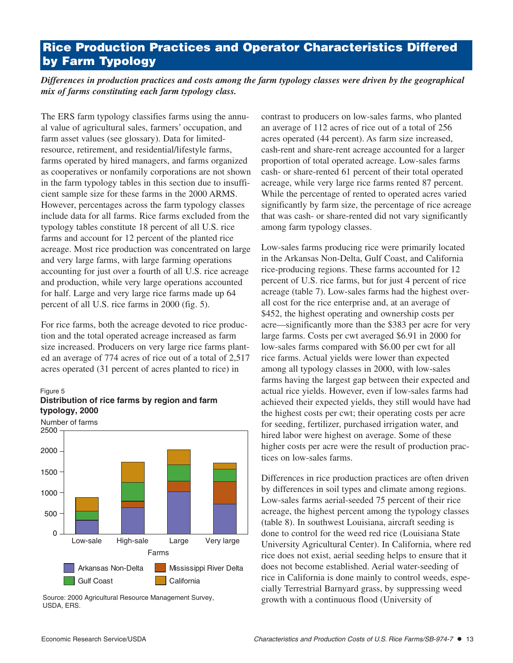# **Rice Production Practices and Operator Characteristics Differed by Farm Typology**

*Differences in production practices and costs among the farm typology classes were driven by the geographical mix of farms constituting each farm typology class.* 

The ERS farm typology classifies farms using the annual value of agricultural sales, farmers' occupation, and farm asset values (see glossary). Data for limitedresource, retirement, and residential/lifestyle farms, farms operated by hired managers, and farms organized as cooperatives or nonfamily corporations are not shown in the farm typology tables in this section due to insufficient sample size for these farms in the 2000 ARMS. However, percentages across the farm typology classes include data for all farms. Rice farms excluded from the typology tables constitute 18 percent of all U.S. rice farms and account for 12 percent of the planted rice acreage. Most rice production was concentrated on large and very large farms, with large farming operations accounting for just over a fourth of all U.S. rice acreage and production, while very large operations accounted for half. Large and very large rice farms made up 64 percent of all U.S. rice farms in 2000 (fig. 5).

For rice farms, both the acreage devoted to rice production and the total operated acreage increased as farm size increased. Producers on very large rice farms planted an average of 774 acres of rice out of a total of 2,517 acres operated (31 percent of acres planted to rice) in



Figure 5 **Distribution of rice farms by region and farm typology, 2000**

Source: 2000 Agricultural Resource Management Survey, USDA, ERS.

contrast to producers on low-sales farms, who planted an average of 112 acres of rice out of a total of 256 acres operated (44 percent). As farm size increased, cash-rent and share-rent acreage accounted for a larger proportion of total operated acreage. Low-sales farms cash- or share-rented 61 percent of their total operated acreage, while very large rice farms rented 87 percent. While the percentage of rented to operated acres varied significantly by farm size, the percentage of rice acreage that was cash- or share-rented did not vary significantly among farm typology classes.

Low-sales farms producing rice were primarily located in the Arkansas Non-Delta, Gulf Coast, and California rice-producing regions. These farms accounted for 12 percent of U.S. rice farms, but for just 4 percent of rice acreage (table 7). Low-sales farms had the highest overall cost for the rice enterprise and, at an average of \$452, the highest operating and ownership costs per acre—significantly more than the \$383 per acre for very large farms. Costs per cwt averaged \$6.91 in 2000 for low-sales farms compared with \$6.00 per cwt for all rice farms. Actual yields were lower than expected among all typology classes in 2000, with low-sales farms having the largest gap between their expected and actual rice yields. However, even if low-sales farms had achieved their expected yields, they still would have had the highest costs per cwt; their operating costs per acre for seeding, fertilizer, purchased irrigation water, and hired labor were highest on average. Some of these higher costs per acre were the result of production practices on low-sales farms.

Differences in rice production practices are often driven by differences in soil types and climate among regions. Low-sales farms aerial-seeded 75 percent of their rice acreage, the highest percent among the typology classes (table 8). In southwest Louisiana, aircraft seeding is done to control for the weed red rice (Louisiana State University Agricultural Center). In California, where red rice does not exist, aerial seeding helps to ensure that it does not become established. Aerial water-seeding of rice in California is done mainly to control weeds, especially Terrestrial Barnyard grass, by suppressing weed growth with a continuous flood (University of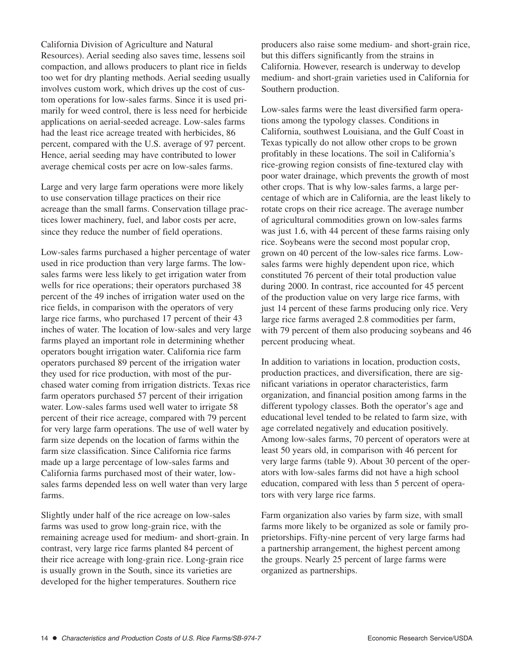California Division of Agriculture and Natural Resources). Aerial seeding also saves time, lessens soil compaction, and allows producers to plant rice in fields too wet for dry planting methods. Aerial seeding usually involves custom work, which drives up the cost of custom operations for low-sales farms. Since it is used primarily for weed control, there is less need for herbicide applications on aerial-seeded acreage. Low-sales farms had the least rice acreage treated with herbicides, 86 percent, compared with the U.S. average of 97 percent. Hence, aerial seeding may have contributed to lower average chemical costs per acre on low-sales farms.

Large and very large farm operations were more likely to use conservation tillage practices on their rice acreage than the small farms. Conservation tillage practices lower machinery, fuel, and labor costs per acre, since they reduce the number of field operations.

Low-sales farms purchased a higher percentage of water used in rice production than very large farms. The lowsales farms were less likely to get irrigation water from wells for rice operations; their operators purchased 38 percent of the 49 inches of irrigation water used on the rice fields, in comparison with the operators of very large rice farms, who purchased 17 percent of their 43 inches of water. The location of low-sales and very large farms played an important role in determining whether operators bought irrigation water. California rice farm operators purchased 89 percent of the irrigation water they used for rice production, with most of the purchased water coming from irrigation districts. Texas rice farm operators purchased 57 percent of their irrigation water. Low-sales farms used well water to irrigate 58 percent of their rice acreage, compared with 79 percent for very large farm operations. The use of well water by farm size depends on the location of farms within the farm size classification. Since California rice farms made up a large percentage of low-sales farms and California farms purchased most of their water, lowsales farms depended less on well water than very large farms.

Slightly under half of the rice acreage on low-sales farms was used to grow long-grain rice, with the remaining acreage used for medium- and short-grain. In contrast, very large rice farms planted 84 percent of their rice acreage with long-grain rice. Long-grain rice is usually grown in the South, since its varieties are developed for the higher temperatures. Southern rice

producers also raise some medium- and short-grain rice, but this differs significantly from the strains in California. However, research is underway to develop medium- and short-grain varieties used in California for Southern production.

Low-sales farms were the least diversified farm operations among the typology classes. Conditions in California, southwest Louisiana, and the Gulf Coast in Texas typically do not allow other crops to be grown profitably in these locations. The soil in California's rice-growing region consists of fine-textured clay with poor water drainage, which prevents the growth of most other crops. That is why low-sales farms, a large percentage of which are in California, are the least likely to rotate crops on their rice acreage. The average number of agricultural commodities grown on low-sales farms was just 1.6, with 44 percent of these farms raising only rice. Soybeans were the second most popular crop, grown on 40 percent of the low-sales rice farms. Lowsales farms were highly dependent upon rice, which constituted 76 percent of their total production value during 2000. In contrast, rice accounted for 45 percent of the production value on very large rice farms, with just 14 percent of these farms producing only rice. Very large rice farms averaged 2.8 commodities per farm, with 79 percent of them also producing soybeans and 46 percent producing wheat.

In addition to variations in location, production costs, production practices, and diversification, there are significant variations in operator characteristics, farm organization, and financial position among farms in the different typology classes. Both the operator's age and educational level tended to be related to farm size, with age correlated negatively and education positively. Among low-sales farms, 70 percent of operators were at least 50 years old, in comparison with 46 percent for very large farms (table 9). About 30 percent of the operators with low-sales farms did not have a high school education, compared with less than 5 percent of operators with very large rice farms.

Farm organization also varies by farm size, with small farms more likely to be organized as sole or family proprietorships. Fifty-nine percent of very large farms had a partnership arrangement, the highest percent among the groups. Nearly 25 percent of large farms were organized as partnerships.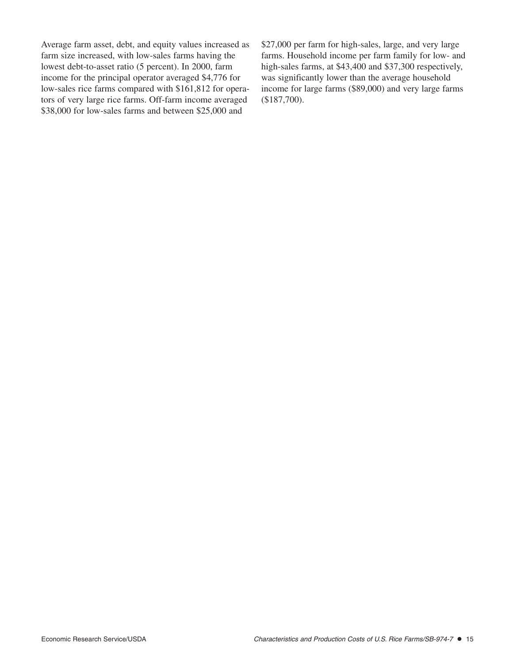Average farm asset, debt, and equity values increased as farm size increased, with low-sales farms having the lowest debt-to-asset ratio (5 percent). In 2000, farm income for the principal operator averaged \$4,776 for low-sales rice farms compared with \$161,812 for operators of very large rice farms. Off-farm income averaged \$38,000 for low-sales farms and between \$25,000 and

\$27,000 per farm for high-sales, large, and very large farms. Household income per farm family for low- and high-sales farms, at \$43,400 and \$37,300 respectively, was significantly lower than the average household income for large farms (\$89,000) and very large farms (\$187,700).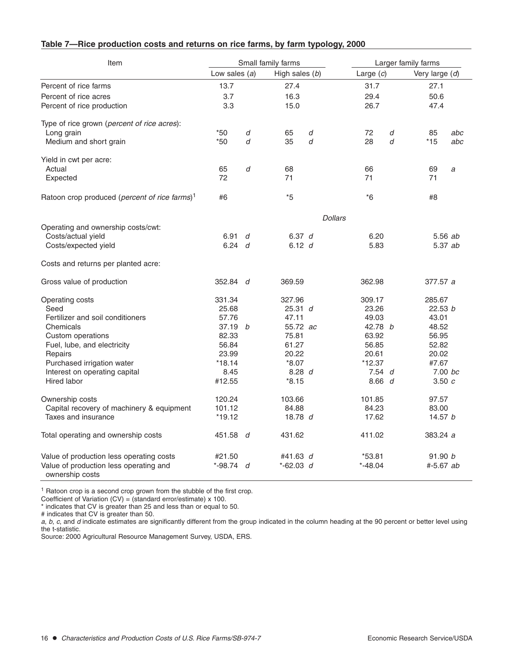| Table 7-Rice production costs and returns on rice farms, by farm typology, 2000 |  |
|---------------------------------------------------------------------------------|--|
|---------------------------------------------------------------------------------|--|

| Item                                                      | Small family farms                |   | Larger family farms |                |                |   |           |     |
|-----------------------------------------------------------|-----------------------------------|---|---------------------|----------------|----------------|---|-----------|-----|
|                                                           | Low sales $(a)$<br>High sales (b) |   | Large $(c)$         |                | Very large (d) |   |           |     |
| Percent of rice farms                                     | 13.7                              |   | 27.4                |                | 31.7           |   | 27.1      |     |
| Percent of rice acres                                     | 3.7                               |   | 16.3                |                | 29.4           |   | 50.6      |     |
| Percent of rice production                                | 3.3                               |   | 15.0                |                | 26.7           |   | 47.4      |     |
| Type of rice grown (percent of rice acres):               |                                   |   |                     |                |                |   |           |     |
| Long grain                                                | $*50$                             | d | 65                  | d              | 72             | d | 85        | abc |
| Medium and short grain                                    | *50                               | d | 35                  | d              | 28             | d | $*15$     | abc |
| Yield in cwt per acre:                                    |                                   |   |                     |                |                |   |           |     |
| Actual                                                    | 65                                | d | 68                  |                | 66             |   | 69        | a   |
| Expected                                                  | 72                                |   | 71                  |                | 71             |   | 71        |     |
| Ratoon crop produced (percent of rice farms) <sup>1</sup> | #6                                |   | *5                  |                | $*6$           |   | #8        |     |
|                                                           |                                   |   |                     | <b>Dollars</b> |                |   |           |     |
| Operating and ownership costs/cwt:                        |                                   |   |                     |                |                |   |           |     |
| Costs/actual yield                                        | 6.91 $d$                          |   | 6.37 d              |                | 6.20           |   | 5.56 ab   |     |
| Costs/expected yield                                      | 6.24 d                            |   | 6.12 d              |                | 5.83           |   | 5.37 ab   |     |
| Costs and returns per planted acre:                       |                                   |   |                     |                |                |   |           |     |
| Gross value of production                                 | 352.84 d                          |   | 369.59              |                | 362.98         |   | 377.57 a  |     |
| Operating costs                                           | 331.34                            |   | 327.96              |                | 309.17         |   | 285.67    |     |
| Seed                                                      | 25.68                             |   | 25.31 d             |                | 23.26          |   | 22.53 b   |     |
| Fertilizer and soil conditioners                          | 57.76                             |   | 47.11               |                | 49.03          |   | 43.01     |     |
| Chemicals                                                 | 37.19 b                           |   | 55.72 ac            |                | 42.78 b        |   | 48.52     |     |
| Custom operations                                         | 82.33                             |   | 75.81               |                | 63.92          |   | 56.95     |     |
| Fuel, lube, and electricity                               | 56.84                             |   | 61.27               |                | 56.85          |   | 52.82     |     |
| Repairs                                                   | 23.99                             |   | 20.22               |                | 20.61          |   | 20.02     |     |
| Purchased irrigation water                                | $*18.14$                          |   | $*8.07$             |                | $*12.37$       |   | #7.67     |     |
| Interest on operating capital                             | 8.45                              |   | 8.28 d              |                | 7.54d          |   | 7.00 bc   |     |
| Hired labor                                               | #12.55                            |   | $*8.15$             |                | 8.66 d         |   | 3.50c     |     |
| Ownership costs                                           | 120.24                            |   | 103.66              |                | 101.85         |   | 97.57     |     |
| Capital recovery of machinery & equipment                 | 101.12                            |   | 84.88               |                | 84.23          |   | 83.00     |     |
| Taxes and insurance                                       | $*19.12$                          |   | 18.78 $d$           |                | 17.62          |   | 14.57 $b$ |     |
| Total operating and ownership costs                       | 451.58 d                          |   | 431.62              |                | 411.02         |   | 383.24 a  |     |
| Value of production less operating costs                  | #21.50                            |   | #41.63 d            |                | $*53.81$       |   | 91.90 b   |     |
| Value of production less operating and<br>ownership costs | *-98.74 d                         |   | $*-62.03$ d         |                | $*-48.04$      |   | #-5.67 ab |     |

 $1$  Ratoon crop is a second crop grown from the stubble of the first crop.

Coefficient of Variation (CV) = (standard error/estimate) x 100.

\* indicates that CV is greater than 25 and less than or equal to 50.

# indicates that CV is greater than 50.

a, b, c, and d indicate estimates are significantly different from the group indicated in the column heading at the 90 percent or better level using the t-statistic.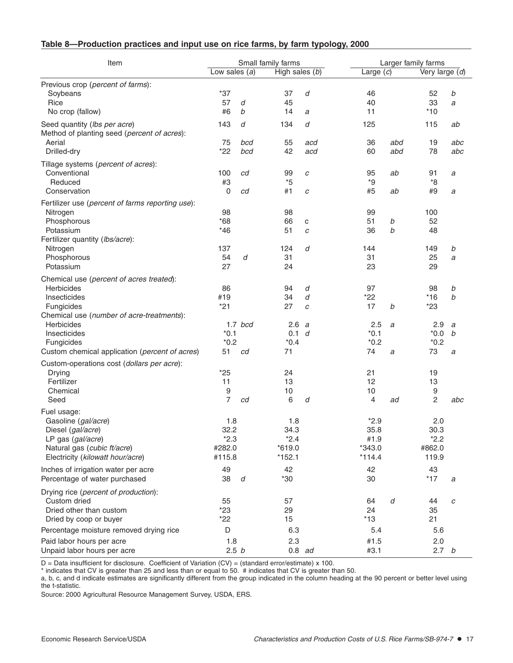| Table 8-Production practices and input use on rice farms, by farm typology, 2000 |  |  |
|----------------------------------------------------------------------------------|--|--|
|----------------------------------------------------------------------------------|--|--|

| Item                                                                                                                                                                |                                           |                  | Small family farms                            |                 |                                              | Larger family farms |                                                |                  |  |
|---------------------------------------------------------------------------------------------------------------------------------------------------------------------|-------------------------------------------|------------------|-----------------------------------------------|-----------------|----------------------------------------------|---------------------|------------------------------------------------|------------------|--|
|                                                                                                                                                                     | Low sales $(a)$                           |                  | High sales (b)                                |                 | Large $(c)$                                  |                     | Very large (d)                                 |                  |  |
| Previous crop (percent of farms):<br>Soybeans<br>Rice<br>No crop (fallow)                                                                                           | $*37$<br>57<br>#6                         | d<br>b           | 37<br>45<br>14                                | d<br>a          | 46<br>40<br>11                               |                     | 52<br>33<br>$*10$                              | b<br>a           |  |
| Seed quantity (lbs per acre)<br>Method of planting seed (percent of acres):<br>Aerial<br>Drilled-dry                                                                | 143<br>75<br>$*22$                        | d<br>bcd<br>bcd  | 134<br>55<br>42                               | d<br>acd<br>acd | 125<br>36<br>60                              | abd<br>abd          | 115<br>19<br>78                                | ab<br>abc<br>abc |  |
| Tillage systems (percent of acres):<br>Conventional<br>Reduced<br>Conservation                                                                                      | 100<br>#3<br>0                            | cd<br>cd         | 99<br>$*_{5}$<br>#1                           | c<br>c          | 95<br>${}^{\star}9$<br>#5                    | ab<br>ab            | 91<br>$*8$<br>#9                               | a<br>а           |  |
| Fertilizer use (percent of farms reporting use):<br>Nitrogen<br>Phosphorous<br>Potassium<br>Fertilizer quantity (lbs/acre):<br>Nitrogen<br>Phosphorous<br>Potassium | 98<br>$*68$<br>$*46$<br>137<br>54<br>27   | d                | 98<br>66<br>51<br>124<br>31<br>24             | C<br>C<br>d     | 99<br>51<br>36<br>144<br>31<br>23            | b<br>b              | 100<br>52<br>48<br>149<br>25<br>29             | b<br>a           |  |
| Chemical use (percent of acres treated):<br>Herbicides<br>Insecticides<br>Fungicides<br>Chemical use (number of acre-treatments):                                   | 86<br>#19<br>$*21$                        |                  | 94<br>34<br>27                                | d<br>d<br>C     | 97<br>*22<br>17                              | b                   | 98<br>$*16$<br>$*23$                           | b<br>b           |  |
| Herbicides<br>Insecticides<br>Fungicides<br>Custom chemical application (percent of acres)                                                                          | $*0.1$<br>$*0.2$<br>51                    | $1.7$ bcd<br>cd  | 2.6<br>0.1 d<br>$*0.4$<br>71                  | a               | 2.5<br>$*0.1$<br>$*0.2$<br>74                | a<br>a              | 2.9<br>$*0.0*$<br>$*0.2$<br>73                 | a<br>b<br>a      |  |
| Custom-operations cost (dollars per acre):<br>Drying<br>Fertilizer<br>Chemical<br>Seed                                                                              | $*25$<br>11<br>9<br>7                     | cd               | 24<br>13<br>10<br>6                           | d               | 21<br>12<br>10<br>4                          | ad                  | 19<br>13<br>$\boldsymbol{9}$<br>$\overline{c}$ | abc              |  |
| Fuel usage:<br>Gasoline (gal/acre)<br>Diesel (gal/acre)<br>LP gas (gal/acre)<br>Natural gas (cubic ft/acre)<br>Electricity (kilowatt hour/acre)                     | 1.8<br>32.2<br>$*2.3$<br>#282.0<br>#115.8 |                  | 1.8<br>34.3<br>$*2.4$<br>$*619.0$<br>$*152.1$ |                 | $*2.9$<br>35.8<br>#1.9<br>*343.0<br>$*114.4$ |                     | 2.0<br>30.3<br>$*2.2$<br>#862.0<br>119.9       |                  |  |
| Inches of irrigation water per acre<br>Percentage of water purchased                                                                                                | 49<br>38                                  | $\boldsymbol{d}$ | 42<br>$*30$                                   |                 | 42<br>30                                     |                     | 43<br>$*17$                                    | а                |  |
| Drying rice (percent of production):<br>Custom dried<br>Dried other than custom<br>Dried by coop or buyer                                                           | 55<br>$*23$<br>$*22$                      |                  | 57<br>29<br>15                                |                 | 64<br>24<br>$*13$                            | d                   | 44<br>35<br>21                                 | C                |  |
| Percentage moisture removed drying rice<br>Paid labor hours per acre<br>Unpaid labor hours per acre                                                                 | D<br>1.8<br>2.5 <sub>b</sub>              |                  | 6.3<br>2.3<br>$0.8$ ad                        |                 | 5.4<br>#1.5<br>#3.1                          |                     | 5.6<br>2.0<br>2.7 <sub>b</sub>                 |                  |  |

D = Data insufficient for disclosure. Coefficient of Variation (CV) = (standard error/estimate) x 100.

\* indicates that CV is greater than 25 and less than or equal to 50. # indicates that CV is greater than 50.

a, b, c, and d indicate estimates are significantly different from the group indicated in the column heading at the 90 percent or better level using the t-statistic.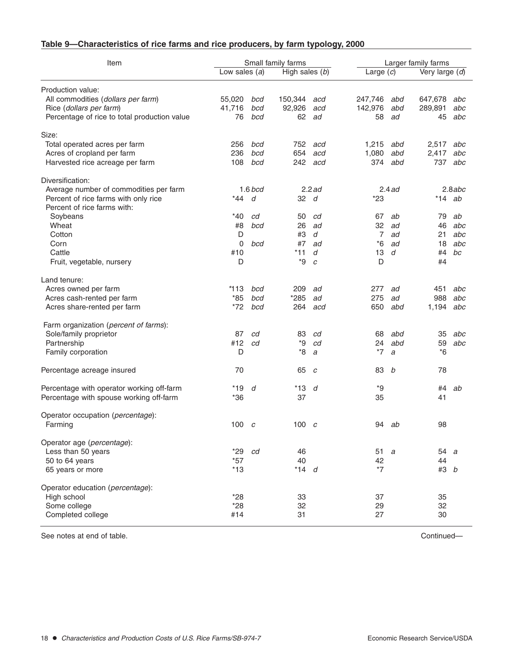## **Table 9—Characteristics of rice farms and rice producers, by farm typology, 2000**

| Item                                         | Small family farms |           |                  |          | Larger family farms |          |                |          |
|----------------------------------------------|--------------------|-----------|------------------|----------|---------------------|----------|----------------|----------|
|                                              | Low sales $(a)$    |           | High sales $(b)$ |          | Large $(c)$         |          | Very large (d) |          |
| Production value:                            |                    |           |                  |          |                     |          |                |          |
| All commodities (dollars per farm)           | 55,020             | bcd       | 150,344          | acd      | 247,746             | abd      | 647,678        | abc      |
| Rice (dollars per farm)                      | 41,716             | bcd       | 92,926           | acd      | 142,976             | abd      | 289,891        | abc      |
| Percentage of rice to total production value | 76                 | bcd       | 62               | ad       | 58                  | ad       | 45             | abc      |
| Size:                                        |                    |           |                  |          |                     |          |                |          |
| Total operated acres per farm                | 256                | bcd       |                  | 752 acd  | 1,215               | abd      | 2,517          | abc      |
| Acres of cropland per farm                   | 236                | bcd       | 654              | acd      | 1,080               | abd      | 2,417          | abc      |
| Harvested rice acreage per farm              | 108                | bcd       |                  | 242 acd  | 374                 | abd      | 737            | abc      |
| Diversification:                             |                    |           |                  |          |                     |          |                |          |
| Average number of commodities per farm       |                    | $1.6$ bcd |                  | $2.2$ ad |                     | $2.4$ ad |                | 2.8abc   |
| Percent of rice farms with only rice         | *44                | d         | 32 d             |          | $*23$               |          |                | $*14$ ab |
| Percent of rice farms with:                  |                    |           |                  |          |                     |          |                |          |
| Soybeans                                     | *40                | cd        | 50               | cd       | 67                  | ab       | 79             | ab       |
| Wheat                                        | #8                 | bcd       | 26               | ad       | 32                  | ad       | 46             | abc      |
| Cotton                                       | D                  |           | #3               | d        | $\overline{7}$      | ad       | 21             | abc      |
| Corn                                         | 0                  | bcd       | #7               | ad       | *6                  | ad       | 18             | abc      |
| Cattle                                       | #10                |           | $*11$            | d        | 13                  | d        | #4             | bc       |
| Fruit, vegetable, nursery                    | D                  |           | *9               | C        | D                   |          | #4             |          |
| Land tenure:                                 |                    |           |                  |          |                     |          |                |          |
| Acres owned per farm                         | *113               | bcd       | 209              | ad       | 277                 | ad       | 451            | abc      |
| Acres cash-rented per farm                   | $*85$              | bcd       | *285             | ad       | 275                 | ad       | 988            | abc      |
| Acres share-rented per farm                  | $*72$              | bcd       | 264              | acd      | 650                 | abd      | 1,194          | abc      |
| Farm organization (percent of farms):        |                    |           |                  |          |                     |          |                |          |
| Sole/family proprietor                       | 87                 | cd        | 83               | cd       | 68                  | abd      | 35             | abc      |
| Partnership                                  | #12                | cd        | *9               | cd       | 24                  | abd      | 59             | abc      |
| Family corporation                           | D                  |           | *8               | a        | $*7$                | a        | $*6$           |          |
| Percentage acreage insured                   | 70                 |           | 65               | C        | 83                  | b        | 78             |          |
| Percentage with operator working off-farm    | *19                | d         | $*13$            | d        | *9                  |          | #4             | ab       |
| Percentage with spouse working off-farm      | $*36$              |           | 37               |          | 35                  |          | 41             |          |
| Operator occupation (percentage):            |                    |           |                  |          |                     |          |                |          |
| Farming                                      | $100 \quad c$      |           | $100\,c$         |          |                     | 94 ab    | 98             |          |
| Operator age (percentage):                   |                    |           |                  |          |                     |          |                |          |
| Less than 50 years                           | $*29$              | cd        | 46               |          | 51                  | a        | 54 a           |          |
| 50 to 64 years                               | $*57$              |           | 40               |          | 42                  |          | 44             |          |
| 65 years or more                             | $*13$              |           | $*14$ d          |          | $*7$                |          | #3 <i>b</i>    |          |
| Operator education (percentage):             |                    |           |                  |          |                     |          |                |          |
| High school                                  | $*28$              |           | 33               |          | 37                  |          | 35             |          |
| Some college                                 | $*28$              |           | 32               |          | 29                  |          | 32             |          |
| Completed college                            | #14                |           | 31               |          | 27                  |          | 30             |          |
|                                              |                    |           |                  |          |                     |          |                |          |

See notes at end of table. Continued—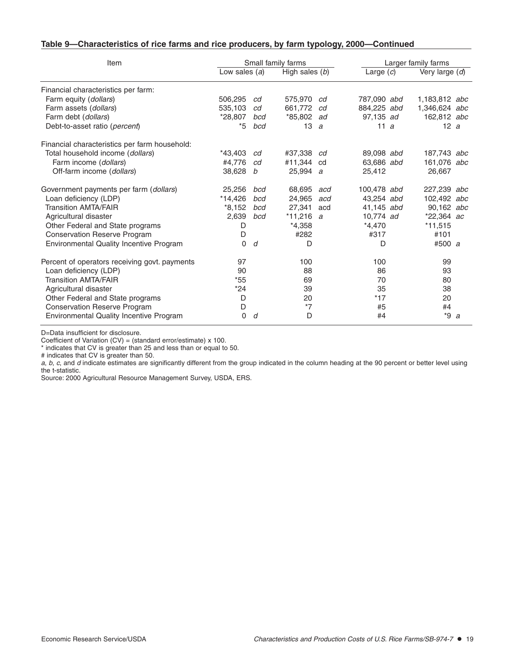### **Table 9—Characteristics of rice farms and rice producers, by farm typology, 2000—Continued**

| Item                                           |             | Small family farms | Larger family farms |     |                |  |               |   |
|------------------------------------------------|-------------|--------------------|---------------------|-----|----------------|--|---------------|---|
| Low sales $(a)$<br>High sales $(b)$            |             |                    | Large $(c)$         |     | Very large (d) |  |               |   |
| Financial characteristics per farm:            |             |                    |                     |     |                |  |               |   |
| Farm equity (dollars)                          | 506.295     | cd                 | 575,970 cd          |     | 787,090 abd    |  | 1,183,812 abc |   |
| Farm assets (dollars)                          | 535,103     | cd                 | 661,772             | cd  | 884,225 abd    |  | 1,346,624 abc |   |
| Farm debt (dollars)                            | *28,807     | bcd                | *85,802 ad          |     | 97,135 ad      |  | 162,812 abc   |   |
| Debt-to-asset ratio (percent)                  | *5          | bcd                | 13                  | a   | 11a            |  | 12a           |   |
| Financial characteristics per farm household:  |             |                    |                     |     |                |  |               |   |
| Total household income (dollars)               | *43.403     | cd                 | #37.338 cd          |     | 89,098 abd     |  | 187,743 abc   |   |
| Farm income (dollars)                          | #4,776      | cd                 | #11.344 cd          |     | 63.686 abd     |  | 161,076 abc   |   |
| Off-farm income (dollars)                      | 38,628      | b                  | 25,994 a            |     | 25,412         |  | 26,667        |   |
| Government payments per farm (dollars)         | 25,256      | bcd                | 68,695              | acd | 100,478 abd    |  | 227,239 abc   |   |
| Loan deficiency (LDP)                          | *14.426     | bcd                | 24,965              | acd | 43,254 abd     |  | 102,492 abc   |   |
| <b>Transition AMTA/FAIR</b>                    | $*8,152$    | bcd                | 27,341              | acd | 41,145 abd     |  | 90,162 abc    |   |
| Agricultural disaster                          | 2,639       | bcd                | $*11,216 a$         |     | 10.774 ad      |  | $*22,364$ ac  |   |
| Other Federal and State programs               | D           |                    | $*4,358$            |     | $*4,470$       |  | $*11,515$     |   |
| <b>Conservation Reserve Program</b>            | D           |                    | #282                |     | #317           |  | #101          |   |
| <b>Environmental Quality Incentive Program</b> | $\Omega$    | d                  | D                   |     | D              |  | #500 a        |   |
| Percent of operators receiving govt. payments  | 97          |                    | 100                 |     | 100            |  | 99            |   |
| Loan deficiency (LDP)                          | 90          |                    | 88                  |     | 86             |  | 93            |   |
| <b>Transition AMTA/FAIR</b>                    | $*55$       |                    | 69                  |     | 70             |  | 80            |   |
| Agricultural disaster                          | *24         |                    | 39                  |     | 35             |  | 38            |   |
| Other Federal and State programs               | D           |                    | 20                  |     | $*17$          |  | 20            |   |
| <b>Conservation Reserve Program</b>            | D           |                    | $*7$                |     | #5             |  | #4            |   |
| Environmental Quality Incentive Program        | $\mathbf 0$ | d                  | D                   |     | #4             |  | *9            | a |

D=Data insufficient for disclosure.

Coefficient of Variation (CV) = (standard error/estimate) x 100.

\* indicates that CV is greater than 25 and less than or equal to 50.

# indicates that CV is greater than 50.

a, b, c, and d indicate estimates are significantly different from the group indicated in the column heading at the 90 percent or better level using the t-statistic.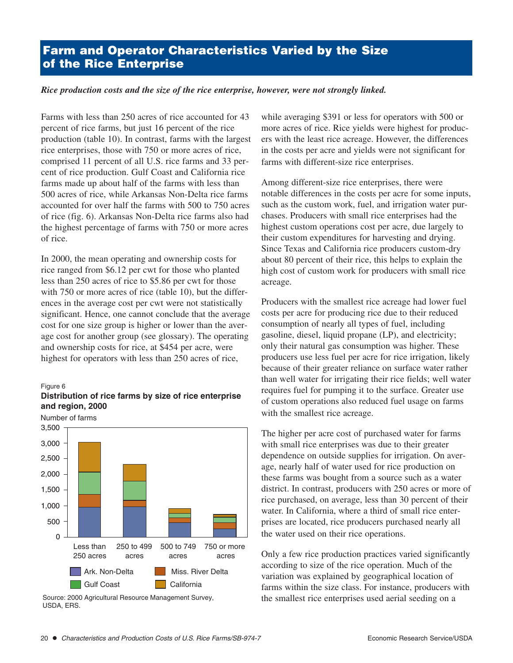# **Farm and Operator Characteristics Varied by the Size of the Rice Enterprise**

### *Rice production costs and the size of the rice enterprise, however, were not strongly linked.*

Farms with less than 250 acres of rice accounted for 43 percent of rice farms, but just 16 percent of the rice production (table 10). In contrast, farms with the largest rice enterprises, those with 750 or more acres of rice, comprised 11 percent of all U.S. rice farms and 33 percent of rice production. Gulf Coast and California rice farms made up about half of the farms with less than 500 acres of rice, while Arkansas Non-Delta rice farms accounted for over half the farms with 500 to 750 acres of rice (fig. 6). Arkansas Non-Delta rice farms also had the highest percentage of farms with 750 or more acres of rice.

In 2000, the mean operating and ownership costs for rice ranged from \$6.12 per cwt for those who planted less than 250 acres of rice to \$5.86 per cwt for those with 750 or more acres of rice (table 10), but the differences in the average cost per cwt were not statistically significant. Hence, one cannot conclude that the average cost for one size group is higher or lower than the average cost for another group (see glossary). The operating and ownership costs for rice, at \$454 per acre, were highest for operators with less than 250 acres of rice,

#### Figure 6





Source: 2000 Agricultural Resource Management Survey, USDA, ERS.

while averaging \$391 or less for operators with 500 or more acres of rice. Rice yields were highest for producers with the least rice acreage. However, the differences in the costs per acre and yields were not significant for farms with different-size rice enterprises.

Among different-size rice enterprises, there were notable differences in the costs per acre for some inputs, such as the custom work, fuel, and irrigation water purchases. Producers with small rice enterprises had the highest custom operations cost per acre, due largely to their custom expenditures for harvesting and drying. Since Texas and California rice producers custom-dry about 80 percent of their rice, this helps to explain the high cost of custom work for producers with small rice acreage.

Producers with the smallest rice acreage had lower fuel costs per acre for producing rice due to their reduced consumption of nearly all types of fuel, including gasoline, diesel, liquid propane (LP), and electricity; only their natural gas consumption was higher. These producers use less fuel per acre for rice irrigation, likely because of their greater reliance on surface water rather than well water for irrigating their rice fields; well water requires fuel for pumping it to the surface. Greater use of custom operations also reduced fuel usage on farms with the smallest rice acreage.

The higher per acre cost of purchased water for farms with small rice enterprises was due to their greater dependence on outside supplies for irrigation. On average, nearly half of water used for rice production on these farms was bought from a source such as a water district. In contrast, producers with 250 acres or more of rice purchased, on average, less than 30 percent of their water. In California, where a third of small rice enterprises are located, rice producers purchased nearly all the water used on their rice operations.

Only a few rice production practices varied significantly according to size of the rice operation. Much of the variation was explained by geographical location of farms within the size class. For instance, producers with the smallest rice enterprises used aerial seeding on a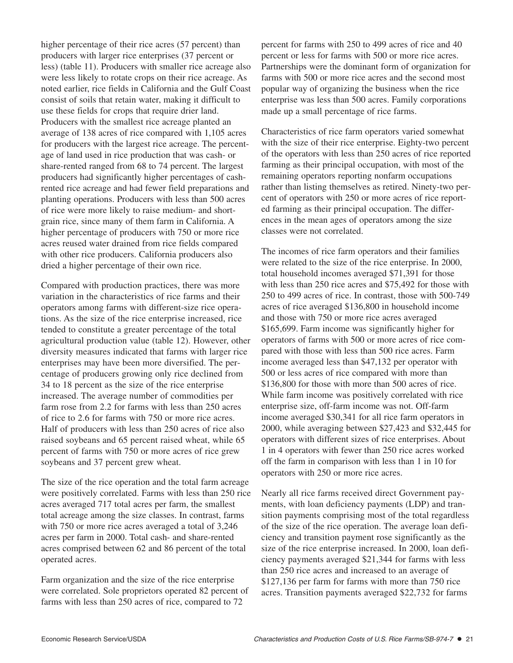higher percentage of their rice acres (57 percent) than producers with larger rice enterprises (37 percent or less) (table 11). Producers with smaller rice acreage also were less likely to rotate crops on their rice acreage. As noted earlier, rice fields in California and the Gulf Coast consist of soils that retain water, making it difficult to use these fields for crops that require drier land. Producers with the smallest rice acreage planted an average of 138 acres of rice compared with 1,105 acres for producers with the largest rice acreage. The percentage of land used in rice production that was cash- or share-rented ranged from 68 to 74 percent. The largest producers had significantly higher percentages of cashrented rice acreage and had fewer field preparations and planting operations. Producers with less than 500 acres of rice were more likely to raise medium- and shortgrain rice, since many of them farm in California. A higher percentage of producers with 750 or more rice acres reused water drained from rice fields compared with other rice producers. California producers also dried a higher percentage of their own rice.

Compared with production practices, there was more variation in the characteristics of rice farms and their operators among farms with different-size rice operations. As the size of the rice enterprise increased, rice tended to constitute a greater percentage of the total agricultural production value (table 12). However, other diversity measures indicated that farms with larger rice enterprises may have been more diversified. The percentage of producers growing only rice declined from 34 to 18 percent as the size of the rice enterprise increased. The average number of commodities per farm rose from 2.2 for farms with less than 250 acres of rice to 2.6 for farms with 750 or more rice acres. Half of producers with less than 250 acres of rice also raised soybeans and 65 percent raised wheat, while 65 percent of farms with 750 or more acres of rice grew soybeans and 37 percent grew wheat.

The size of the rice operation and the total farm acreage were positively correlated. Farms with less than 250 rice acres averaged 717 total acres per farm, the smallest total acreage among the size classes. In contrast, farms with 750 or more rice acres averaged a total of 3,246 acres per farm in 2000. Total cash- and share-rented acres comprised between 62 and 86 percent of the total operated acres.

Farm organization and the size of the rice enterprise were correlated. Sole proprietors operated 82 percent of farms with less than 250 acres of rice, compared to 72

percent for farms with 250 to 499 acres of rice and 40 percent or less for farms with 500 or more rice acres. Partnerships were the dominant form of organization for farms with 500 or more rice acres and the second most popular way of organizing the business when the rice enterprise was less than 500 acres. Family corporations made up a small percentage of rice farms.

Characteristics of rice farm operators varied somewhat with the size of their rice enterprise. Eighty-two percent of the operators with less than 250 acres of rice reported farming as their principal occupation, with most of the remaining operators reporting nonfarm occupations rather than listing themselves as retired. Ninety-two percent of operators with 250 or more acres of rice reported farming as their principal occupation. The differences in the mean ages of operators among the size classes were not correlated.

The incomes of rice farm operators and their families were related to the size of the rice enterprise. In 2000, total household incomes averaged \$71,391 for those with less than 250 rice acres and \$75,492 for those with 250 to 499 acres of rice. In contrast, those with 500-749 acres of rice averaged \$136,800 in household income and those with 750 or more rice acres averaged \$165,699. Farm income was significantly higher for operators of farms with 500 or more acres of rice compared with those with less than 500 rice acres. Farm income averaged less than \$47,132 per operator with 500 or less acres of rice compared with more than \$136,800 for those with more than 500 acres of rice. While farm income was positively correlated with rice enterprise size, off-farm income was not. Off-farm income averaged \$30,341 for all rice farm operators in 2000, while averaging between \$27,423 and \$32,445 for operators with different sizes of rice enterprises. About 1 in 4 operators with fewer than 250 rice acres worked off the farm in comparison with less than 1 in 10 for operators with 250 or more rice acres.

Nearly all rice farms received direct Government payments, with loan deficiency payments (LDP) and transition payments comprising most of the total regardless of the size of the rice operation. The average loan deficiency and transition payment rose significantly as the size of the rice enterprise increased. In 2000, loan deficiency payments averaged \$21,344 for farms with less than 250 rice acres and increased to an average of \$127,136 per farm for farms with more than 750 rice acres. Transition payments averaged \$22,732 for farms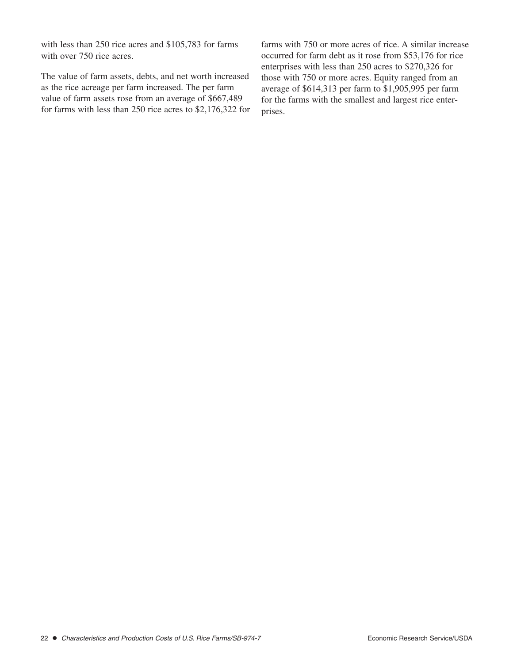with less than 250 rice acres and \$105,783 for farms with over 750 rice acres.

The value of farm assets, debts, and net worth increased as the rice acreage per farm increased. The per farm value of farm assets rose from an average of \$667,489 for farms with less than 250 rice acres to \$2,176,322 for farms with 750 or more acres of rice. A similar increase occurred for farm debt as it rose from \$53,176 for rice enterprises with less than 250 acres to \$270,326 for those with 750 or more acres. Equity ranged from an average of \$614,313 per farm to \$1,905,995 per farm for the farms with the smallest and largest rice enterprises.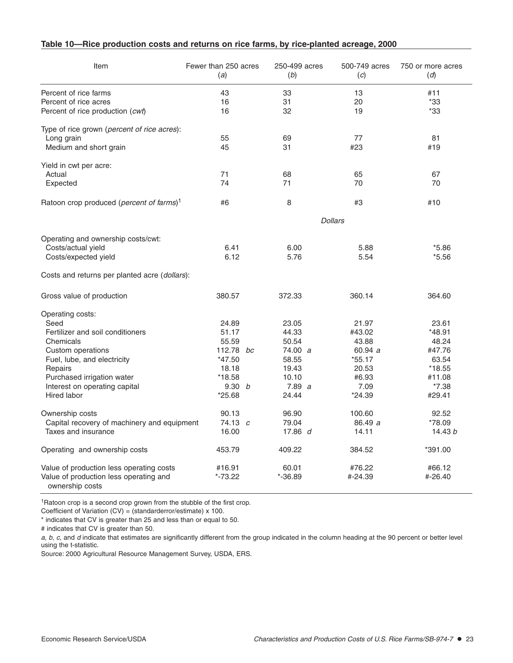### **Table 10—Rice production costs and returns on rice farms, by rice-planted acreage, 2000**

| Item                                                      | Fewer than 250 acres<br>(a) | 250-499 acres<br>(b) |                | 500-749 acres<br>(c) | 750 or more acres<br>(d) |
|-----------------------------------------------------------|-----------------------------|----------------------|----------------|----------------------|--------------------------|
| Percent of rice farms                                     | 43                          | 33                   |                | 13                   | #11                      |
| Percent of rice acres                                     | 16                          | 31                   |                | 20                   | *33                      |
| Percent of rice production (cwt)                          | 16                          | 32                   |                | 19                   | *33                      |
| Type of rice grown (percent of rice acres):               |                             |                      |                |                      |                          |
| Long grain                                                | 55                          | 69                   |                | 77                   | 81                       |
| Medium and short grain                                    | 45                          | 31                   |                | #23                  | #19                      |
| Yield in cwt per acre:                                    |                             |                      |                |                      |                          |
| Actual                                                    | 71                          | 68                   |                | 65                   | 67                       |
| Expected                                                  | 74                          | 71                   |                | 70                   | 70                       |
| Ratoon crop produced (percent of farms) <sup>1</sup>      | #6                          | 8                    |                | #3                   | #10                      |
|                                                           |                             |                      | <b>Dollars</b> |                      |                          |
| Operating and ownership costs/cwt:                        |                             |                      |                |                      |                          |
| Costs/actual yield                                        | 6.41                        | 6.00                 |                | 5.88                 | $*5.86$                  |
| Costs/expected yield                                      | 6.12                        | 5.76                 |                | 5.54                 | $*5.56$                  |
| Costs and returns per planted acre ( <i>dollars</i> ):    |                             |                      |                |                      |                          |
| Gross value of production                                 | 380.57                      | 372.33               |                | 360.14               | 364.60                   |
| Operating costs:                                          |                             |                      |                |                      |                          |
| Seed                                                      | 24.89                       | 23.05                |                | 21.97                | 23.61                    |
| Fertilizer and soil conditioners                          | 51.17                       | 44.33                |                | #43.02               | $*48.91$                 |
| Chemicals                                                 | 55.59                       | 50.54                |                | 43.88                | 48.24                    |
| Custom operations                                         | 112.78 bc                   | 74.00 a              |                | 60.94 a              | #47.76                   |
| Fuel, lube, and electricity                               | *47.50                      | 58.55                |                | $*55.17$             | 63.54                    |
| Repairs                                                   | 18.18                       | 19.43                |                | 20.53                | $*18.55$                 |
| Purchased irrigation water                                | $*18.58$                    | 10.10                |                | #6.93                | #11.08                   |
| Interest on operating capital                             | 9.30 $b$                    | 7.89 a               |                | 7.09                 | $*7.38$                  |
| Hired labor                                               | $*25.68$                    | 24.44                |                | $*24.39$             | #29.41                   |
| Ownership costs                                           | 90.13                       | 96.90                |                | 100.60               | 92.52                    |
| Capital recovery of machinery and equipment               | $74.13 \, c$                | 79.04                |                | 86.49 a              | *78.09                   |
| Taxes and insurance                                       | 16.00                       | 17.86 d              |                | 14.11                | 14.43 $b$                |
| Operating and ownership costs                             | 453.79                      | 409.22               |                | 384.52               | *391.00                  |
| Value of production less operating costs                  | #16.91                      | 60.01                |                | #76.22               | #66.12                   |
| Value of production less operating and<br>ownership costs | *-73.22                     | $*-36.89$            |                | #-24.39              | #-26.40                  |

<sup>1</sup>Ratoon crop is a second crop grown from the stubble of the first crop.

Coefficient of Variation (CV) = (standarderror/estimate) x 100.

\* indicates that CV is greater than 25 and less than or equal to 50.

# indicates that CV is greater than 50.

a, b, c, and d indicate that estimates are significantly different from the group indicated in the column heading at the 90 percent or better level using the t-statistic.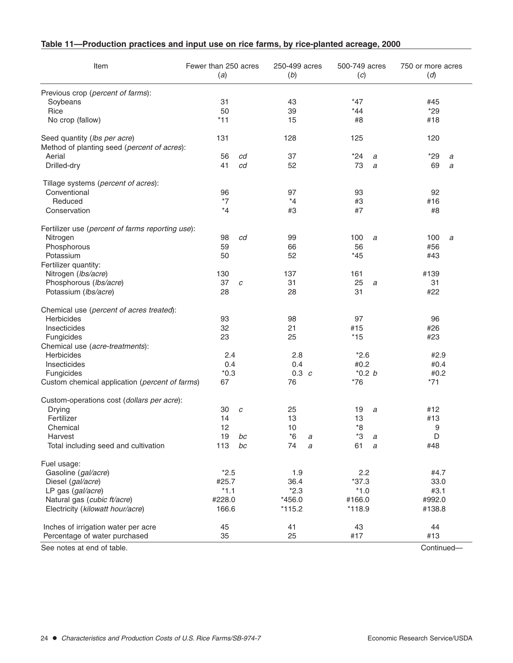| Item                                             | Fewer than 250 acres<br>(a) |    | 250-499 acres<br>(b) |   | 500-749 acres<br>(c) |   | 750 or more acres<br>(d) |   |
|--------------------------------------------------|-----------------------------|----|----------------------|---|----------------------|---|--------------------------|---|
| Previous crop (percent of farms):                |                             |    |                      |   |                      |   |                          |   |
| Soybeans                                         | 31                          |    | 43                   |   | $*47$                |   | #45                      |   |
| Rice                                             | 50                          |    | 39                   |   | $*44$                |   | $*29$                    |   |
| No crop (fallow)                                 | $*11$                       |    | 15                   |   | #8                   |   | #18                      |   |
| Seed quantity (lbs per acre)                     | 131                         |    | 128                  |   | 125                  |   | 120                      |   |
| Method of planting seed (percent of acres):      |                             |    |                      |   |                      |   |                          |   |
| Aerial                                           | 56                          | cd | 37                   |   | *24                  | а | $*29$                    | a |
| Drilled-dry                                      | 41                          | cd | 52                   |   | 73                   | a | 69                       | a |
| Tillage systems (percent of acres):              |                             |    |                      |   |                      |   |                          |   |
| Conventional                                     | 96                          |    | 97                   |   | 93                   |   | 92                       |   |
| Reduced                                          | $*7$                        |    | $*_{4}$              |   | #3                   |   | #16                      |   |
| Conservation                                     | $*_{4}$                     |    | #3                   |   | #7                   |   | #8                       |   |
| Fertilizer use (percent of farms reporting use): |                             |    |                      |   |                      |   |                          |   |
| Nitrogen                                         | 98                          | cd | 99                   |   | 100                  | a | 100                      | a |
| Phosphorous                                      | 59                          |    | 66                   |   | 56                   |   | #56                      |   |
| Potassium                                        | 50                          |    | 52                   |   | $*45$                |   | #43                      |   |
| Fertilizer quantity:                             |                             |    |                      |   |                      |   |                          |   |
| Nitrogen (Ibs/acre)                              | 130                         |    | 137                  |   | 161                  |   | #139                     |   |
| Phosphorous (lbs/acre)<br>Potassium (Ibs/acre)   | 37<br>28                    | C  | 31<br>28             |   | 25<br>31             | a | 31<br>#22                |   |
| Chemical use (percent of acres treated):         |                             |    |                      |   |                      |   |                          |   |
| Herbicides                                       | 93                          |    | 98                   |   | 97                   |   | 96                       |   |
| Insecticides                                     | 32                          |    | 21                   |   | #15                  |   | #26                      |   |
| Fungicides                                       | 23                          |    | 25                   |   | $*15$                |   | #23                      |   |
| Chemical use (acre-treatments):                  |                             |    |                      |   |                      |   |                          |   |
| <b>Herbicides</b>                                | 2.4                         |    | 2.8                  |   | $*2.6$               |   | #2.9                     |   |
| Insecticides                                     | 0.4                         |    | 0.4                  |   | #0.2                 |   | #0.4                     |   |
| Fungicides                                       | $*0.3$                      |    | $0.3$ $c$            |   | $*0.2 b$             |   | #0.2                     |   |
| Custom chemical application (percent of farms)   | 67                          |    | 76                   |   | $*76$                |   | $*71$                    |   |
| Custom-operations cost (dollars per acre):       |                             |    |                      |   |                      |   |                          |   |
| Drying                                           | 30                          | C  | 25                   |   | 19                   | a | #12                      |   |
| Fertilizer                                       | 14                          |    | 13                   |   | 13                   |   | #13                      |   |
| Chemical                                         | 12                          |    | 10                   |   | $*8$                 |   | 9                        |   |
| Harvest                                          | 19                          | bc | *6                   | а | *3                   | а | D                        |   |
| Total including seed and cultivation             | 113                         | bc | 74                   | а | 61                   | а | #48                      |   |
| Fuel usage:                                      |                             |    |                      |   |                      |   |                          |   |
| Gasoline (gal/acre)                              | $*2.5$                      |    | 1.9                  |   | 2.2                  |   | #4.7                     |   |
| Diesel (gal/acre)                                | #25.7<br>$*1.1$             |    | 36.4<br>$*2.3$       |   | $*37.3$              |   | 33.0                     |   |
| LP gas (gal/acre)                                |                             |    |                      |   | $*1.0$               |   | #3.1                     |   |
| Natural gas (cubic ft/acre)                      | #228.0                      |    | $*456.0$             |   | #166.0               |   | #992.0                   |   |
| Electricity (kilowatt hour/acre)                 | 166.6                       |    | $*115.2$             |   | $*118.9$             |   | #138.8                   |   |
| Inches of irrigation water per acre              | 45                          |    | 41                   |   | 43                   |   | 44                       |   |
| Percentage of water purchased                    | 35                          |    | 25                   |   | #17                  |   | #13                      |   |

## **Table 11—Production practices and input use on rice farms, by rice-planted acreage, 2000**

See notes at end of table. Continued—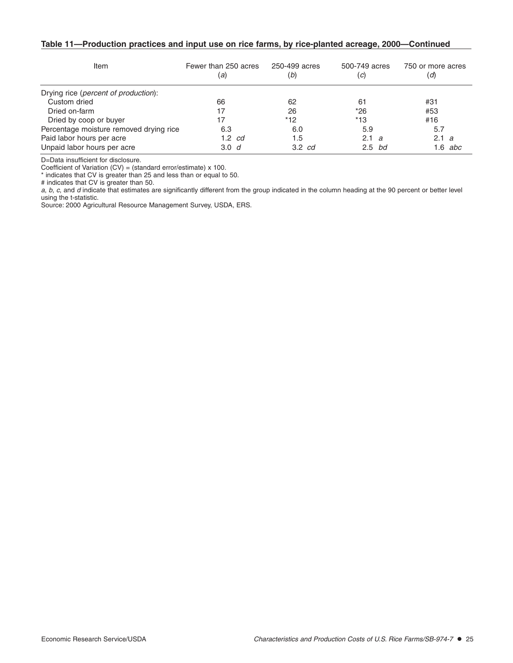#### **Table 11—Production practices and input use on rice farms, by rice-planted acreage, 2000—Continued**

| Item                                    | Fewer than 250 acres<br>(a) | 250-499 acres<br>(b) | 500-749 acres<br>(c) | 750 or more acres<br>(d) |
|-----------------------------------------|-----------------------------|----------------------|----------------------|--------------------------|
| Drying rice (percent of production):    |                             |                      |                      |                          |
| Custom dried                            | 66                          | 62                   | 61                   | #31                      |
| Dried on-farm                           | 17                          | 26                   | $*26$                | #53                      |
| Dried by coop or buyer                  | 17                          | $*12$                | $*13$                | #16                      |
| Percentage moisture removed drying rice | 6.3                         | 6.0                  | 5.9                  | 5.7                      |
| Paid labor hours per acre               | $1.2 \text{ } cd$           | 1.5                  | 2.1 a                | 2.1 a                    |
| Unpaid labor hours per acre             | 3.0 <sub>d</sub>            | $3.2$ $cd$           | $2.5$ bd             | $6 \cdot$<br>abc         |

D=Data insufficient for disclosure.

Coefficient of Variation (CV) = (standard error/estimate) x 100.

\* indicates that CV is greater than 25 and less than or equal to 50.

# indicates that CV is greater than 50.

 $a, b, c$ , and  $d$  indicate that estimates are significantly different from the group indicated in the column heading at the 90 percent or better level using the t-statistic.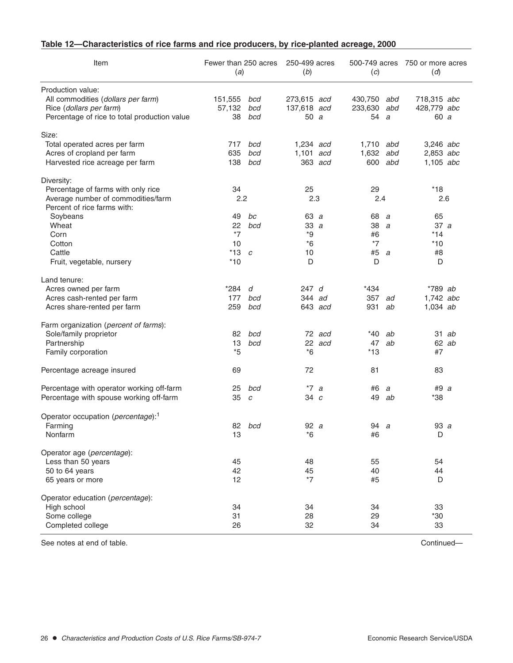| Table 12—Characteristics of rice farms and rice producers, by rice-planted acreage, 2000 |  |
|------------------------------------------------------------------------------------------|--|
|------------------------------------------------------------------------------------------|--|

| Item                                                              | Fewer than 250 acres<br>(a) |               | 250-499 acres<br>(b) |         | (c)       |     | 500-749 acres 750 or more acres<br>(d) |         |
|-------------------------------------------------------------------|-----------------------------|---------------|----------------------|---------|-----------|-----|----------------------------------------|---------|
| Production value:                                                 |                             |               |                      |         |           |     |                                        |         |
| All commodities (dollars per farm)                                | 151,555                     | bcd           | 273,615 acd          |         | 430,750   | abd | 718,315 abc                            |         |
| Rice (dollars per farm)                                           | 57,132                      | bcd           | 137,618 acd          |         | 233,630   | abd | 428,779 abc                            |         |
| Percentage of rice to total production value                      | 38                          | bcd           | 50a                  |         | 54        | a   | 60 a                                   |         |
| Size:                                                             |                             |               |                      |         |           |     |                                        |         |
| Total operated acres per farm                                     | 717                         | bcd           | $1,234$ acd          |         | 1,710 abd |     | 3,246 abc                              |         |
| Acres of cropland per farm                                        | 635                         | bcd           | 1,101 acd            |         | 1,632 abd |     | $2,853$ abc                            |         |
| Harvested rice acreage per farm                                   | 138                         | bcd           |                      | 363 acd | 600       | abd | $1,105$ abc                            |         |
| Diversity:                                                        |                             |               |                      |         |           |     |                                        |         |
| Percentage of farms with only rice                                | 34                          |               | 25                   |         | 29        |     | $*18$                                  |         |
| Average number of commodities/farm<br>Percent of rice farms with: | 2.2                         |               | 2.3                  |         | 2.4       |     | 2.6                                    |         |
| Soybeans                                                          | 49                          | bc            | 63 a                 |         | 68        | a   | 65                                     |         |
| Wheat                                                             | 22                          | bcd           | 33a                  |         | 38a       |     | 37 a                                   |         |
| Corn                                                              | $*7$                        |               | *9                   |         | #6        |     | $*14$                                  |         |
| Cotton                                                            | 10                          |               | $*6$                 |         | $*7$      |     | $*10$                                  |         |
| Cattle                                                            | $*13$                       | $\mathcal{C}$ | 10                   |         | #5 a      |     | #8                                     |         |
| Fruit, vegetable, nursery                                         | $*10$                       |               | D                    |         | D         |     | D                                      |         |
| Land tenure:                                                      |                             |               |                      |         |           |     |                                        |         |
| Acres owned per farm                                              | *284                        | d             | 247d                 |         | *434      |     | $*789$ ab                              |         |
| Acres cash-rented per farm                                        | 177                         | bcd           | 344 ad               |         | 357       | ad  | 1,742 abc                              |         |
| Acres share-rented per farm                                       | 259                         | bcd           |                      | 643 acd | 931       | ab  | $1,034$ ab                             |         |
| Farm organization (percent of farms):                             |                             |               |                      |         |           |     |                                        |         |
| Sole/family proprietor                                            | 82                          | bcd           |                      | 72 acd  | *40       | ab  |                                        | $31$ ab |
| Partnership                                                       | 13                          | bcd           |                      | 22 acd  | 47        | ab  |                                        | 62 ab   |
| Family corporation                                                | $*5$                        |               | $*6$                 |         | $*13$     |     | #7                                     |         |
| Percentage acreage insured                                        | 69                          |               | 72                   |         | 81        |     | 83                                     |         |
| Percentage with operator working off-farm                         | 25                          | bcd           | $*7a$                |         | #6        | a   | #9 a                                   |         |
| Percentage with spouse working off-farm                           | 35                          | $\mathcal{C}$ | 34 c                 |         | 49        | ab  | *38                                    |         |
| Operator occupation (percentage): <sup>1</sup>                    |                             |               |                      |         |           |     |                                        |         |
| Farming                                                           |                             | 82 bcd        | 92a                  |         | 94 a      |     | 93 a                                   |         |
| Nonfarm                                                           | 13                          |               | $*6$                 |         | #6        |     | D                                      |         |
| Operator age (percentage):                                        |                             |               |                      |         |           |     |                                        |         |
| Less than 50 years                                                | 45                          |               | 48                   |         | 55        |     | 54                                     |         |
| 50 to 64 years                                                    | 42                          |               | 45                   |         | 40        |     | 44                                     |         |
| 65 years or more                                                  | 12                          |               | $*7$                 |         | #5        |     | D                                      |         |
| Operator education (percentage):                                  |                             |               |                      |         |           |     |                                        |         |
| High school                                                       | 34                          |               | 34                   |         | 34        |     | 33                                     |         |
| Some college                                                      | 31                          |               | 28                   |         | 29        |     | $*30$                                  |         |
| Completed college                                                 | 26                          |               | 32                   |         | 34        |     | 33                                     |         |

See notes at end of table. Continued—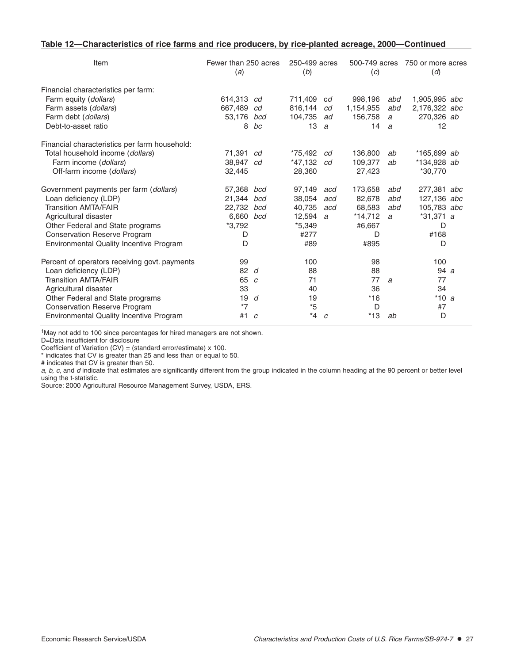| Table 12—Characteristics of rice farms and rice producers, by rice-planted acreage, 2000—Continued |  |  |  |
|----------------------------------------------------------------------------------------------------|--|--|--|
|----------------------------------------------------------------------------------------------------|--|--|--|

| Item                                          | Fewer than 250 acres<br>(a) |               | 250-499 acres<br>(b) |     | 500-749 acres<br>(c) |     | 750 or more acres<br>(d) |  |
|-----------------------------------------------|-----------------------------|---------------|----------------------|-----|----------------------|-----|--------------------------|--|
| Financial characteristics per farm:           |                             |               |                      |     |                      |     |                          |  |
| Farm equity (dollars)                         | 614,313                     | cd            | 711,409              | cd  | 998.196              | abd | 1,905,995 abc            |  |
| Farm assets (dollars)                         | 667.489                     | cd            | 816.144              | cd  | 1,154,955            | abd | 2,176,322 abc            |  |
| Farm debt (dollars)                           | 53,176                      | bcd           | 104,735              | ad  | 156,758              | a   | 270,326 ab               |  |
| Debt-to-asset ratio                           | 8                           | bc            | 13                   | a   | 14                   | a   | 12                       |  |
| Financial characteristics per farm household: |                             |               |                      |     |                      |     |                          |  |
| Total household income (dollars)              | 71,391                      | cd            | *75,492              | cd  | 136,800              | ab  | $*165,699$ ab            |  |
| Farm income (dollars)                         | 38.947                      | cd            | *47.132              | cd  | 109.377              | ab  | *134,928 ab              |  |
| Off-farm income (dollars)                     | 32,445                      |               | 28,360               |     | 27,423               |     | *30.770                  |  |
| Government payments per farm (dollars)        | 57,368                      | bcd           | 97,149               | acd | 173,658              | abd | 277,381 abc              |  |
| Loan deficiency (LDP)                         | 21.344                      | bcd           | 38.054               | acd | 82,678               | abd | 127,136 abc              |  |
| <b>Transition AMTA/FAIR</b>                   | 22.732                      | bcd           | 40.735               | acd | 68.583               | abd | 105.783 abc              |  |
| Agricultural disaster                         | 6,660                       | bcd           | 12,594               | a   | $*14,712$            | a   | $*31,371 a$              |  |
| Other Federal and State programs              | *3,792                      |               | $*5,349$             |     | #6,667               |     | D                        |  |
| <b>Conservation Reserve Program</b>           | D                           |               | #277                 |     | D                    |     | #168                     |  |
| Environmental Quality Incentive Program       | D                           |               | #89                  |     | #895                 |     | D                        |  |
| Percent of operators receiving govt. payments | 99                          |               | 100                  |     | 98                   |     | 100                      |  |
| Loan deficiency (LDP)                         | 82                          | d             | 88                   |     | 88                   |     | 94a                      |  |
| <b>Transition AMTA/FAIR</b>                   | 65                          | $\mathcal{C}$ | 71                   |     | 77                   | a   | 77                       |  |
| Agricultural disaster                         | 33                          |               | 40                   |     | 36                   |     | 34                       |  |
| Other Federal and State programs              | 19                          | d             | 19                   |     | $*16$                |     | $*10a$                   |  |
| <b>Conservation Reserve Program</b>           | $*7$                        |               | $^{\ast}5$           |     | D                    |     | #7                       |  |
| Environmental Quality Incentive Program       | #1                          | $\mathcal{C}$ | $*_{4}$              | C   | $*13$                | ab  | D                        |  |

1May not add to 100 since percentages for hired managers are not shown.

D=Data insufficient for disclosure

Coefficient of Variation  $(CV) = (standard error/estimate) \times 100$ .

\* indicates that CV is greater than 25 and less than or equal to 50.

# indicates that CV is greater than 50.

a, b, c, and d indicate that estimates are significantly different from the group indicated in the column heading at the 90 percent or better level using the t-statistic.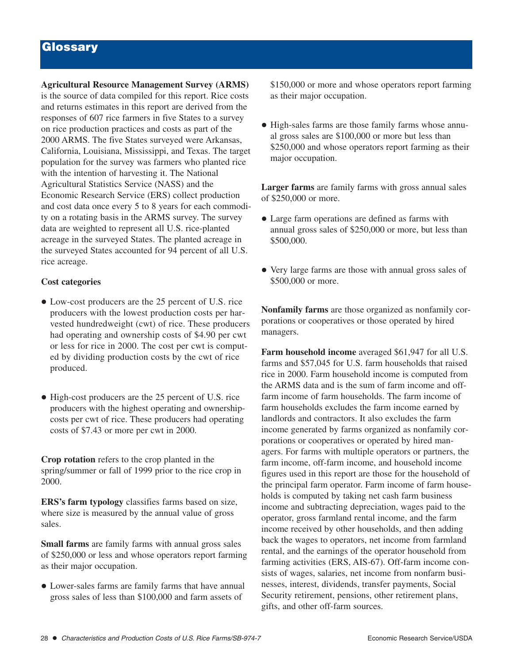# **Glossary**

**Agricultural Resource Management Survey (ARMS)** is the source of data compiled for this report. Rice costs and returns estimates in this report are derived from the responses of 607 rice farmers in five States to a survey on rice production practices and costs as part of the 2000 ARMS. The five States surveyed were Arkansas, California, Louisiana, Mississippi, and Texas. The target population for the survey was farmers who planted rice with the intention of harvesting it. The National Agricultural Statistics Service (NASS) and the Economic Research Service (ERS) collect production and cost data once every 5 to 8 years for each commodity on a rotating basis in the ARMS survey. The survey data are weighted to represent all U.S. rice-planted acreage in the surveyed States. The planted acreage in the surveyed States accounted for 94 percent of all U.S. rice acreage.

### **Cost categories**

- Low-cost producers are the 25 percent of U.S. rice producers with the lowest production costs per harvested hundredweight (cwt) of rice. These producers had operating and ownership costs of \$4.90 per cwt or less for rice in 2000. The cost per cwt is computed by dividing production costs by the cwt of rice produced.
- High-cost producers are the 25 percent of U.S. rice producers with the highest operating and ownershipcosts per cwt of rice. These producers had operating costs of \$7.43 or more per cwt in 2000.

**Crop rotation** refers to the crop planted in the spring/summer or fall of 1999 prior to the rice crop in 2000.

**ERS's farm typology** classifies farms based on size, where size is measured by the annual value of gross sales.

**Small farms** are family farms with annual gross sales of \$250,000 or less and whose operators report farming as their major occupation.

 Lower-sales farms are family farms that have annual gross sales of less than \$100,000 and farm assets of

\$150,000 or more and whose operators report farming as their major occupation.

• High-sales farms are those family farms whose annual gross sales are \$100,000 or more but less than \$250,000 and whose operators report farming as their major occupation.

**Larger farms** are family farms with gross annual sales of \$250,000 or more.

- Large farm operations are defined as farms with annual gross sales of \$250,000 or more, but less than \$500,000.
- Very large farms are those with annual gross sales of \$500,000 or more.

**Nonfamily farms** are those organized as nonfamily corporations or cooperatives or those operated by hired managers.

**Farm household income** averaged \$61,947 for all U.S. farms and \$57,045 for U.S. farm households that raised rice in 2000. Farm household income is computed from the ARMS data and is the sum of farm income and offfarm income of farm households. The farm income of farm households excludes the farm income earned by landlords and contractors. It also excludes the farm income generated by farms organized as nonfamily corporations or cooperatives or operated by hired managers. For farms with multiple operators or partners, the farm income, off-farm income, and household income figures used in this report are those for the household of the principal farm operator. Farm income of farm households is computed by taking net cash farm business income and subtracting depreciation, wages paid to the operator, gross farmland rental income, and the farm income received by other households, and then adding back the wages to operators, net income from farmland rental, and the earnings of the operator household from farming activities (ERS, AIS-67). Off-farm income consists of wages, salaries, net income from nonfarm businesses, interest, dividends, transfer payments, Social Security retirement, pensions, other retirement plans, gifts, and other off-farm sources.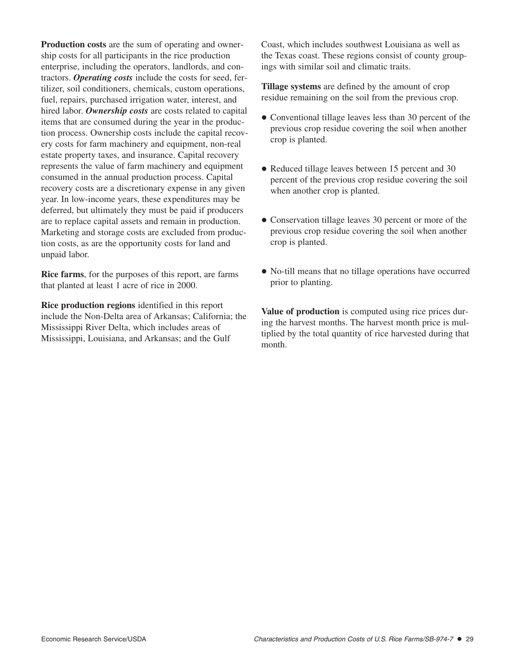**Production costs** are the sum of operating and ownership costs for all participants in the rice production enterprise, including the operators, landlords, and contractors. *Operating costs* include the costs for seed, fertilizer, soil conditioners, chemicals, custom operations, fuel, repairs, purchased irrigation water, interest, and hired labor. *Ownership costs* are costs related to capital items that are consumed during the year in the production process. Ownership costs include the capital recovery costs for farm machinery and equipment, non-real estate property taxes, and insurance. Capital recovery represents the value of farm machinery and equipment consumed in the annual production process. Capital recovery costs are a discretionary expense in any given year. In low-income years, these expenditures may be deferred, but ultimately they must be paid if producers are to replace capital assets and remain in production. Marketing and storage costs are excluded from production costs, as are the opportunity costs for land and unpaid labor.

**Rice farms**, for the purposes of this report, are farms that planted at least 1 acre of rice in 2000.

**Rice production regions** identified in this report include the Non-Delta area of Arkansas; California; the Mississippi River Delta, which includes areas of Mississippi, Louisiana, and Arkansas; and the Gulf

Coast, which includes southwest Louisiana as well as the Texas coast. These regions consist of county groupings with similar soil and climatic traits.

**Tillage systems** are defined by the amount of crop residue remaining on the soil from the previous crop.

- Conventional tillage leaves less than 30 percent of the previous crop residue covering the soil when another crop is planted.
- Reduced tillage leaves between 15 percent and 30 percent of the previous crop residue covering the soil when another crop is planted.
- Conservation tillage leaves 30 percent or more of the previous crop residue covering the soil when another crop is planted.
- No-till means that no tillage operations have occurred prior to planting.

**Value of production** is computed using rice prices during the harvest months. The harvest month price is multiplied by the total quantity of rice harvested during that month.